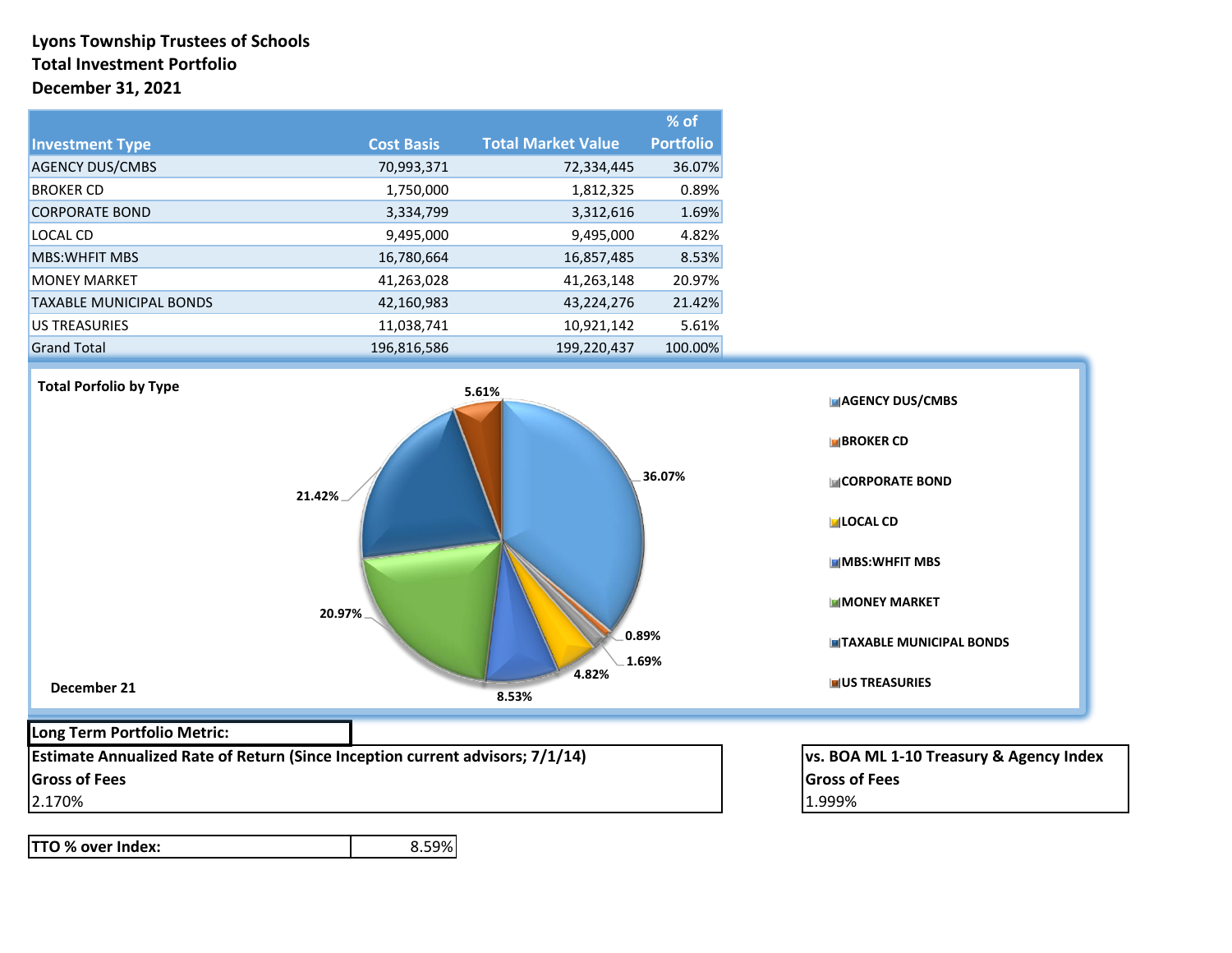### **Lyons Township Trustees of Schools Total Investment Portfolio December 31, 2021**

|                                |                   |                           | $%$ of           |
|--------------------------------|-------------------|---------------------------|------------------|
| <b>Investment Type</b>         | <b>Cost Basis</b> | <b>Total Market Value</b> | <b>Portfolio</b> |
| <b>AGENCY DUS/CMBS</b>         | 70,993,371        | 72,334,445                | 36.07%           |
| <b>BROKER CD</b>               | 1,750,000         | 1,812,325                 | 0.89%            |
| <b>CORPORATE BOND</b>          | 3,334,799         | 3,312,616                 | 1.69%            |
| LOCAL CD                       | 9,495,000         | 9,495,000                 | 4.82%            |
| <b>MBS: WHEIT MBS</b>          | 16,780,664        | 16,857,485                | 8.53%            |
| <b>MONEY MARKET</b>            | 41,263,028        | 41,263,148                | 20.97%           |
| <b>TAXABLE MUNICIPAL BONDS</b> | 42,160,983        | 43,224,276                | 21.42%           |
| <b>US TREASURIES</b>           | 11,038,741        | 10,921,142                | 5.61%            |
| <b>Grand Total</b>             | 196,816,586       | 199,220,437               | 100.00%          |



**TTO % over Index:** 8.59%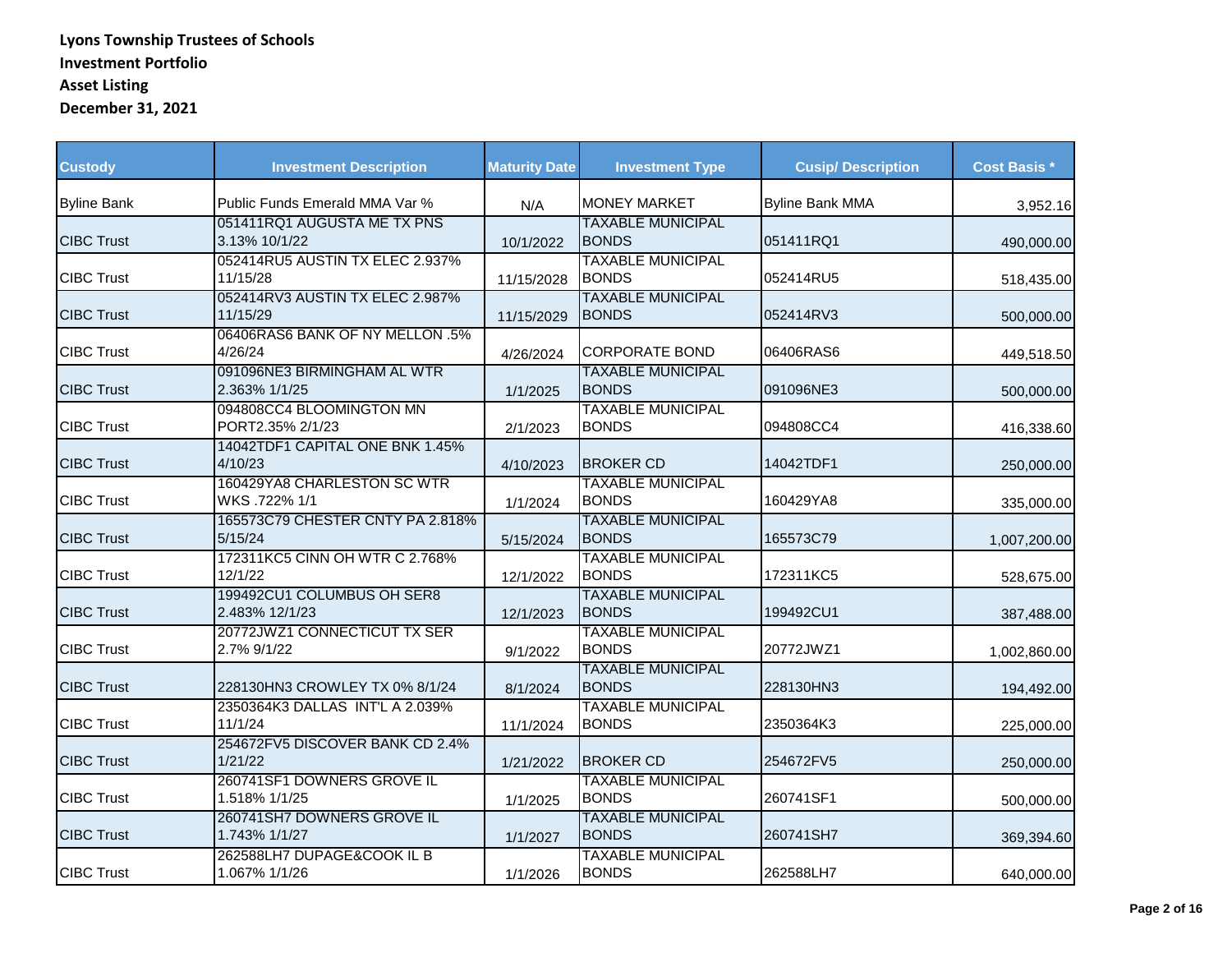| <b>Custody</b>     | <b>Investment Description</b>                | <b>Maturity Date</b> | <b>Investment Type</b>                    | <b>Cusip/ Description</b> | <b>Cost Basis *</b> |
|--------------------|----------------------------------------------|----------------------|-------------------------------------------|---------------------------|---------------------|
| <b>Byline Bank</b> | Public Funds Emerald MMA Var %               | N/A                  | <b>MONEY MARKET</b>                       | <b>Byline Bank MMA</b>    | 3,952.16            |
| <b>CIBC Trust</b>  | 051411RQ1 AUGUSTA ME TX PNS<br>3.13% 10/1/22 | 10/1/2022            | <b>TAXABLE MUNICIPAL</b><br><b>BONDS</b>  | 051411RQ1                 | 490,000.00          |
| <b>CIBC Trust</b>  | 052414RU5 AUSTIN TX ELEC 2.937%<br>11/15/28  | 11/15/2028           | <b>TAXABLE MUNICIPAL</b><br><b>BONDS</b>  | 052414RU5                 | 518,435.00          |
| <b>CIBC Trust</b>  | 052414RV3 AUSTIN TX ELEC 2.987%<br>11/15/29  | 11/15/2029           | <b>TAXABLE MUNICIPAL</b><br><b>BONDS</b>  | 052414RV3                 | 500,000.00          |
| <b>CIBC Trust</b>  | 06406RAS6 BANK OF NY MELLON .5%<br>4/26/24   | 4/26/2024            | CORPORATE BOND                            | 06406RAS6                 | 449,518.50          |
| <b>CIBC Trust</b>  | 091096NE3 BIRMINGHAM AL WTR<br>2.363% 1/1/25 | 1/1/2025             | <b>TAXABLE MUNICIPAL</b><br><b>IBONDS</b> | 091096NE3                 | 500,000.00          |
| <b>CIBC Trust</b>  | 094808CC4 BLOOMINGTON MN<br>PORT2.35% 2/1/23 | 2/1/2023             | <b>TAXABLE MUNICIPAL</b><br><b>BONDS</b>  | 094808CC4                 | 416,338.60          |
| <b>CIBC Trust</b>  | 14042TDF1 CAPITAL ONE BNK 1.45%<br>4/10/23   | 4/10/2023            | <b>BROKER CD</b>                          | 14042TDF1                 | 250,000.00          |
| <b>CIBC Trust</b>  | 160429YA8 CHARLESTON SC WTR<br>WKS.722% 1/1  | 1/1/2024             | <b>TAXABLE MUNICIPAL</b><br><b>BONDS</b>  | 160429YA8                 | 335,000.00          |
| <b>CIBC Trust</b>  | 165573C79 CHESTER CNTY PA 2.818%<br>5/15/24  | 5/15/2024            | <b>TAXABLE MUNICIPAL</b><br><b>BONDS</b>  | 165573C79                 | 1,007,200.00        |
| <b>CIBC Trust</b>  | 172311KC5 CINN OH WTR C 2.768%<br>12/1/22    | 12/1/2022            | <b>TAXABLE MUNICIPAL</b><br><b>BONDS</b>  | 172311KC5                 | 528,675.00          |
| <b>CIBC Trust</b>  | 199492CU1 COLUMBUS OH SER8<br>2.483% 12/1/23 | 12/1/2023            | <b>TAXABLE MUNICIPAL</b><br><b>BONDS</b>  | 199492CU1                 | 387,488.00          |
| <b>CIBC Trust</b>  | 20772JWZ1 CONNECTICUT TX SER<br>2.7% 9/1/22  | 9/1/2022             | <b>TAXABLE MUNICIPAL</b><br><b>BONDS</b>  | 20772JWZ1                 | 1,002,860.00        |
| <b>CIBC Trust</b>  | 228130HN3 CROWLEY TX 0% 8/1/24               | 8/1/2024             | <b>TAXABLE MUNICIPAL</b><br><b>BONDS</b>  | 228130HN3                 | 194,492.00          |
| <b>CIBC Trust</b>  | 2350364K3 DALLAS INT'L A 2.039%<br>11/1/24   | 11/1/2024            | <b>TAXABLE MUNICIPAL</b><br><b>BONDS</b>  | 2350364K3                 | 225,000.00          |
| <b>CIBC Trust</b>  | 254672FV5 DISCOVER BANK CD 2.4%<br>1/21/22   | 1/21/2022            | <b>BROKER CD</b>                          | 254672FV5                 | 250,000.00          |
| <b>CIBC Trust</b>  | 260741SF1 DOWNERS GROVE IL<br>1.518% 1/1/25  | 1/1/2025             | <b>TAXABLE MUNICIPAL</b><br><b>BONDS</b>  | 260741SF1                 | 500,000.00          |
| <b>CIBC Trust</b>  | 260741SH7 DOWNERS GROVE IL<br>1.743% 1/1/27  | 1/1/2027             | <b>TAXABLE MUNICIPAL</b><br><b>BONDS</b>  | 260741SH7                 | 369,394.60          |
| <b>CIBC Trust</b>  | 262588LH7 DUPAGE&COOK IL B<br>1.067% 1/1/26  | 1/1/2026             | <b>TAXABLE MUNICIPAL</b><br><b>BONDS</b>  | 262588LH7                 | 640,000.00          |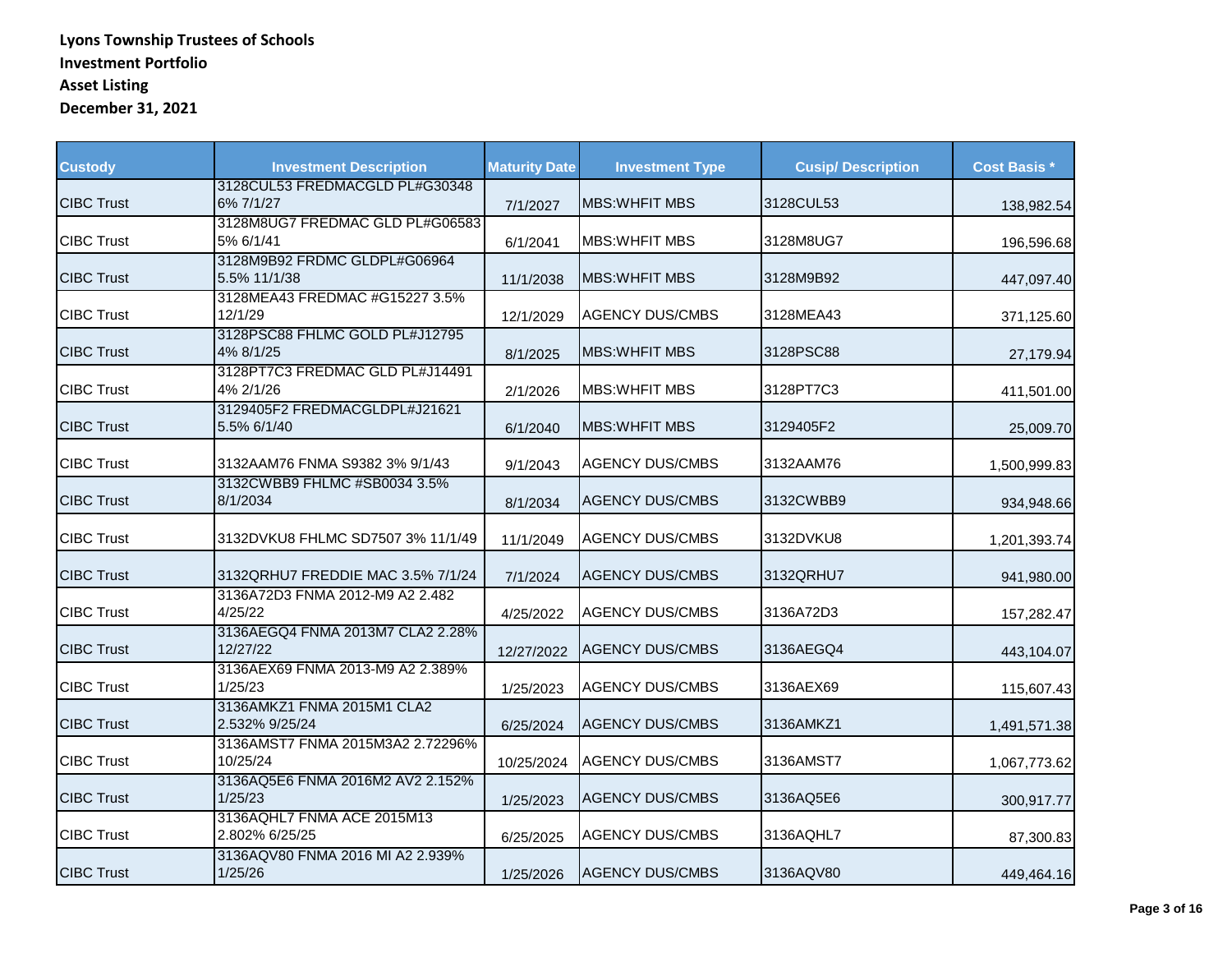| <b>Custody</b>    | <b>Investment Description</b>                | <b>Maturity Date</b> | <b>Investment Type</b> | <b>Cusip/Description</b> | <b>Cost Basis *</b> |
|-------------------|----------------------------------------------|----------------------|------------------------|--------------------------|---------------------|
| <b>CIBC Trust</b> | 3128CUL53 FREDMACGLD PL#G30348<br>6% 7/1/27  | 7/1/2027             | <b>MBS: WHEIT MBS</b>  | 3128CUL53                | 138,982.54          |
| <b>CIBC Trust</b> | 3128M8UG7 FREDMAC GLD PL#G06583<br>5% 6/1/41 | 6/1/2041             | <b>MBS: WHEIT MBS</b>  | 3128M8UG7                | 196,596.68          |
| <b>CIBC Trust</b> | 3128M9B92 FRDMC GLDPL#G06964<br>5.5% 11/1/38 | 11/1/2038            | <b>MBS:WHFIT MBS</b>   | 3128M9B92                | 447,097.40          |
| <b>CIBC Trust</b> | 3128MEA43 FREDMAC #G15227 3.5%<br>12/1/29    | 12/1/2029            | <b>AGENCY DUS/CMBS</b> | 3128MEA43                | 371,125.60          |
| <b>CIBC Trust</b> | 3128PSC88 FHLMC GOLD PL#J12795<br>4% 8/1/25  | 8/1/2025             | IMBS:WHFIT MBS         | 3128PSC88                | 27,179.94           |
| <b>CIBC Trust</b> | 3128PT7C3 FREDMAC GLD PL#J14491<br>4% 2/1/26 | 2/1/2026             | <b>MBS: WHFIT MBS</b>  | 3128PT7C3                | 411,501.00          |
| <b>CIBC Trust</b> | 3129405F2 FREDMACGLDPL#J21621<br>5.5% 6/1/40 | 6/1/2040             | IMBS:WHFIT MBS         | 3129405F2                | 25,009.70           |
| <b>CIBC Trust</b> | 3132AAM76 FNMA S9382 3% 9/1/43               | 9/1/2043             | <b>AGENCY DUS/CMBS</b> | 3132AAM76                | 1,500,999.83        |
| <b>CIBC Trust</b> | 3132CWBB9 FHLMC #SB0034 3.5%<br>8/1/2034     | 8/1/2034             | <b>AGENCY DUS/CMBS</b> | 3132CWBB9                | 934,948.66          |
| <b>CIBC Trust</b> | 3132DVKU8 FHLMC SD7507 3% 11/1/49            | 11/1/2049            | <b>AGENCY DUS/CMBS</b> | 3132DVKU8                | 1,201,393.74        |
| <b>CIBC Trust</b> | 3132QRHU7 FREDDIE MAC 3.5% 7/1/24            | 7/1/2024             | <b>AGENCY DUS/CMBS</b> | 3132QRHU7                | 941,980.00          |
| <b>CIBC Trust</b> | 3136A72D3 FNMA 2012-M9 A2 2.482<br>4/25/22   | 4/25/2022            | <b>AGENCY DUS/CMBS</b> | 3136A72D3                | 157,282.47          |
| <b>CIBC Trust</b> | 3136AEGQ4 FNMA 2013M7 CLA2 2.28%<br>12/27/22 | 12/27/2022           | <b>AGENCY DUS/CMBS</b> | 3136AEGQ4                | 443,104.07          |
| <b>CIBC Trust</b> | 3136AEX69 FNMA 2013-M9 A2 2.389%<br>1/25/23  | 1/25/2023            | <b>AGENCY DUS/CMBS</b> | 3136AEX69                | 115,607.43          |
| <b>CIBC Trust</b> | 3136AMKZ1 FNMA 2015M1 CLA2<br>2.532% 9/25/24 | 6/25/2024            | <b>AGENCY DUS/CMBS</b> | 3136AMKZ1                | 1,491,571.38        |
| <b>CIBC Trust</b> | 3136AMST7 FNMA 2015M3A2 2.72296%<br>10/25/24 | 10/25/2024           | <b>AGENCY DUS/CMBS</b> | 3136AMST7                | 1,067,773.62        |
| <b>CIBC Trust</b> | 3136AQ5E6 FNMA 2016M2 AV2 2.152%<br>1/25/23  | 1/25/2023            | <b>AGENCY DUS/CMBS</b> | 3136AQ5E6                | 300,917.77          |
| <b>CIBC Trust</b> | 3136AQHL7 FNMA ACE 2015M13<br>2.802% 6/25/25 | 6/25/2025            | <b>AGENCY DUS/CMBS</b> | 3136AQHL7                | 87,300.83           |
| <b>CIBC Trust</b> | 3136AQV80 FNMA 2016 MI A2 2.939%<br>1/25/26  | 1/25/2026            | <b>AGENCY DUS/CMBS</b> | 3136AQV80                | 449,464.16          |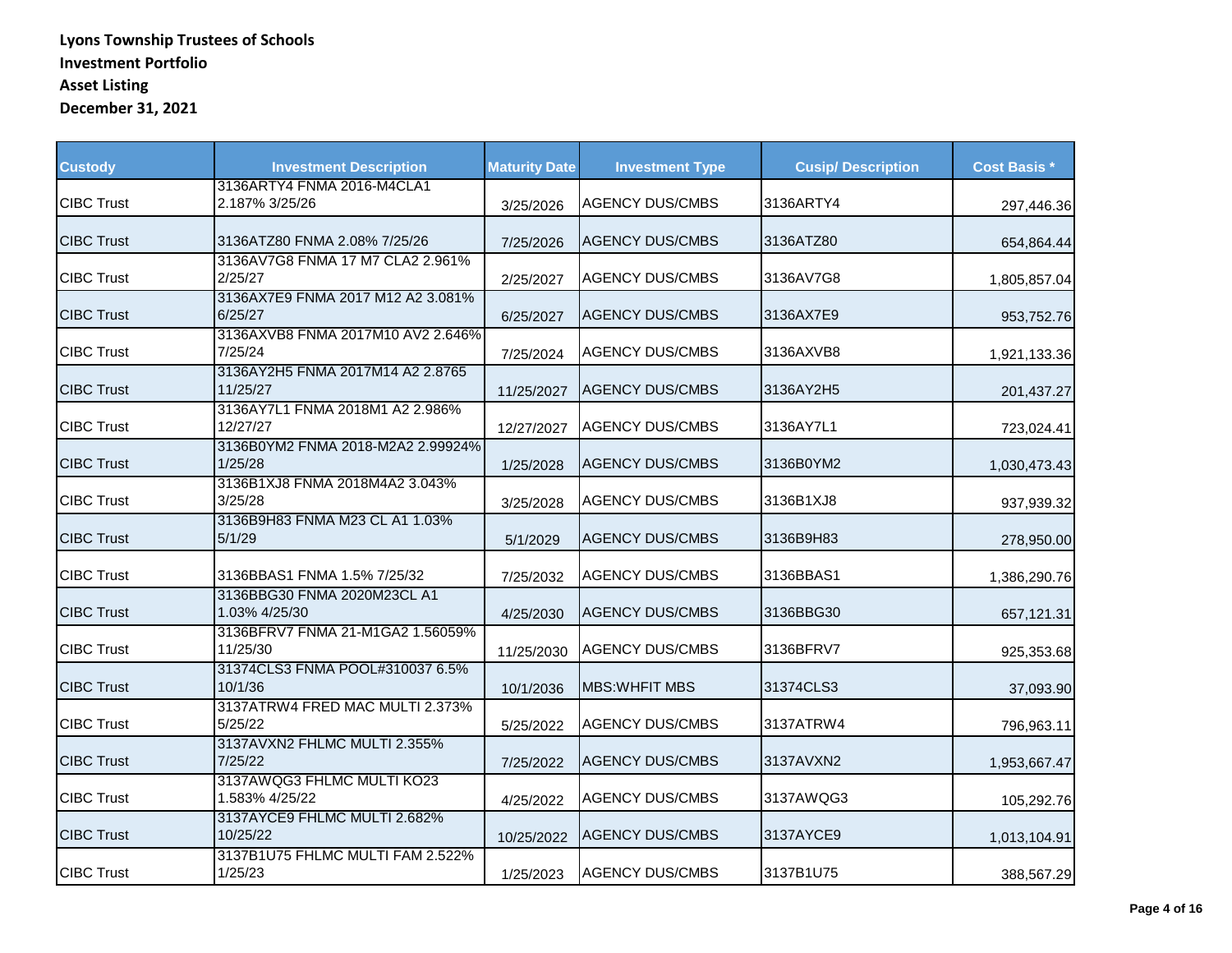| <b>Custody</b>    | <b>Investment Description</b>                | <b>Maturity Date</b> | <b>Investment Type</b> | <b>Cusip/Description</b> | <b>Cost Basis *</b> |
|-------------------|----------------------------------------------|----------------------|------------------------|--------------------------|---------------------|
| <b>CIBC Trust</b> | 3136ARTY4 FNMA 2016-M4CLA1<br>2.187% 3/25/26 | 3/25/2026            | <b>AGENCY DUS/CMBS</b> | 3136ARTY4                | 297,446.36          |
| <b>CIBC Trust</b> | 3136ATZ80 FNMA 2.08% 7/25/26                 | 7/25/2026            | <b>AGENCY DUS/CMBS</b> | 3136ATZ80                | 654,864.44          |
| <b>CIBC Trust</b> | 3136AV7G8 FNMA 17 M7 CLA2 2.961%<br>2/25/27  | 2/25/2027            | <b>AGENCY DUS/CMBS</b> | 3136AV7G8                | 1,805,857.04        |
| <b>CIBC Trust</b> | 3136AX7E9 FNMA 2017 M12 A2 3.081%<br>6/25/27 | 6/25/2027            | <b>AGENCY DUS/CMBS</b> | 3136AX7E9                | 953,752.76          |
| <b>CIBC Trust</b> | 3136AXVB8 FNMA 2017M10 AV2 2.646%<br>7/25/24 | 7/25/2024            | <b>AGENCY DUS/CMBS</b> | 3136AXVB8                | 1,921,133.36        |
| <b>CIBC Trust</b> | 3136AY2H5 FNMA 2017M14 A2 2.8765<br>11/25/27 | 11/25/2027           | <b>AGENCY DUS/CMBS</b> | 3136AY2H5                | 201,437.27          |
| <b>CIBC Trust</b> | 3136AY7L1 FNMA 2018M1 A2 2.986%<br>12/27/27  | 12/27/2027           | <b>AGENCY DUS/CMBS</b> | 3136AY7L1                | 723,024.41          |
| <b>CIBC Trust</b> | 3136B0YM2 FNMA 2018-M2A2 2.99924%<br>1/25/28 | 1/25/2028            | <b>AGENCY DUS/CMBS</b> | 3136B0YM2                | 1,030,473.43        |
| <b>CIBC Trust</b> | 3136B1XJ8 FNMA 2018M4A2 3.043%<br>3/25/28    | 3/25/2028            | <b>AGENCY DUS/CMBS</b> | 3136B1XJ8                | 937,939.32          |
| <b>CIBC Trust</b> | 3136B9H83 FNMA M23 CL A1 1.03%<br>5/1/29     | 5/1/2029             | <b>AGENCY DUS/CMBS</b> | 3136B9H83                | 278,950.00          |
| <b>CIBC Trust</b> | 3136BBAS1 FNMA 1.5% 7/25/32                  | 7/25/2032            | <b>AGENCY DUS/CMBS</b> | 3136BBAS1                | 1,386,290.76        |
| <b>CIBC Trust</b> | 3136BBG30 FNMA 2020M23CL A1<br>1.03% 4/25/30 | 4/25/2030            | <b>AGENCY DUS/CMBS</b> | 3136BBG30                | 657,121.31          |
| <b>CIBC Trust</b> | 3136BFRV7 FNMA 21-M1GA2 1.56059%<br>11/25/30 | 11/25/2030           | <b>AGENCY DUS/CMBS</b> | 3136BFRV7                | 925,353.68          |
| <b>CIBC Trust</b> | 31374CLS3 FNMA POOL#310037 6.5%<br>10/1/36   | 10/1/2036            | MBS: WHFIT MBS         | 31374CLS3                | 37,093.90           |
| <b>CIBC Trust</b> | 3137ATRW4 FRED MAC MULTI 2.373%<br>5/25/22   | 5/25/2022            | <b>AGENCY DUS/CMBS</b> | 3137ATRW4                | 796,963.11          |
| <b>CIBC Trust</b> | 3137AVXN2 FHLMC MULTI 2.355%<br>7/25/22      | 7/25/2022            | <b>AGENCY DUS/CMBS</b> | 3137AVXN2                | 1,953,667.47        |
| <b>CIBC Trust</b> | 3137AWQG3 FHLMC MULTI KO23<br>1.583% 4/25/22 | 4/25/2022            | <b>AGENCY DUS/CMBS</b> | 3137AWQG3                | 105,292.76          |
| <b>CIBC Trust</b> | 3137AYCE9 FHLMC MULTI 2.682%<br>10/25/22     | 10/25/2022           | <b>AGENCY DUS/CMBS</b> | 3137AYCE9                | 1,013,104.91        |
| <b>CIBC Trust</b> | 3137B1U75 FHLMC MULTI FAM 2.522%<br>1/25/23  | 1/25/2023            | <b>AGENCY DUS/CMBS</b> | 3137B1U75                | 388,567.29          |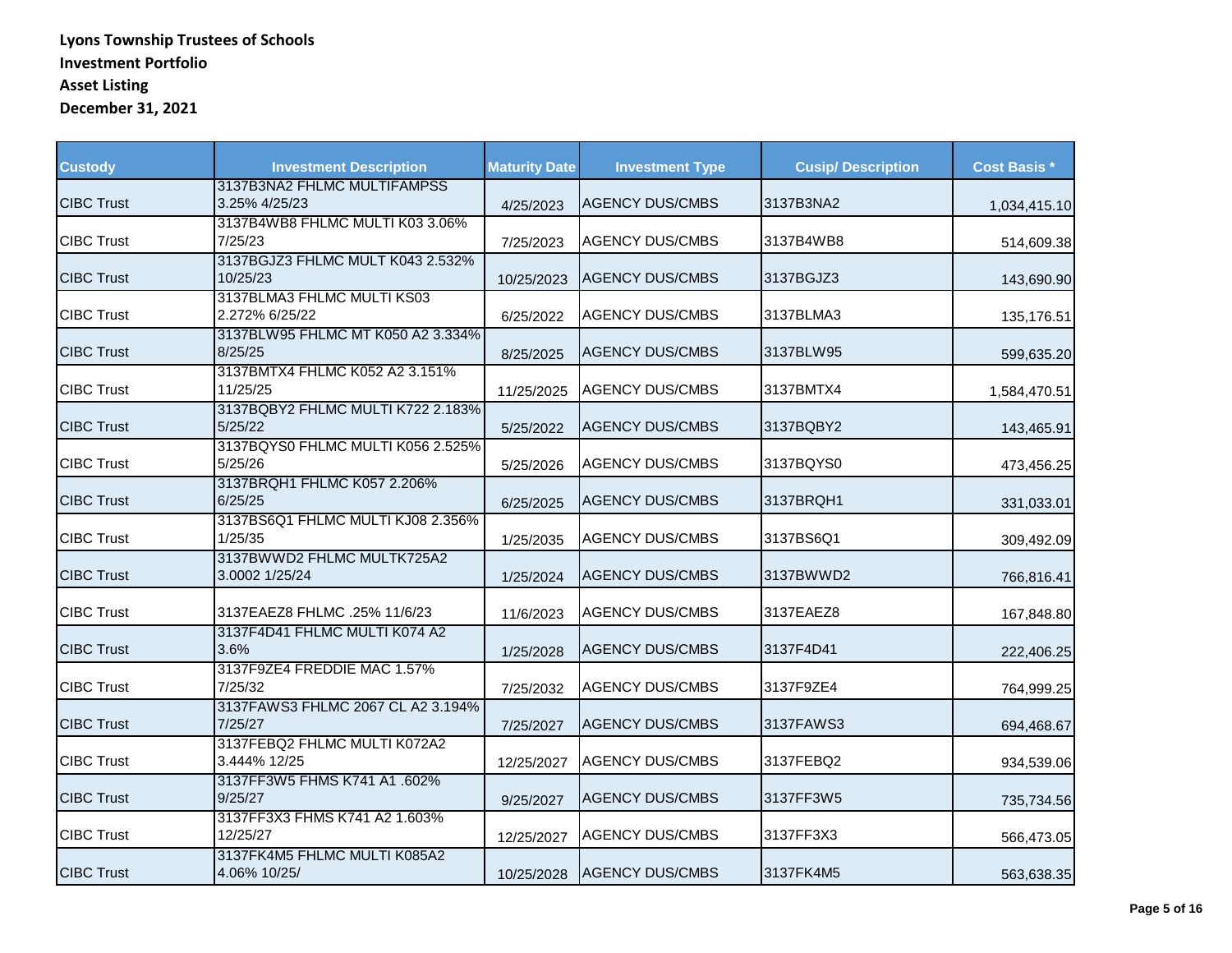| <b>Custody</b>    | <b>Investment Description</b>                | <b>Maturity Date</b> | <b>Investment Type</b> | <b>Cusip/Description</b> | <b>Cost Basis *</b> |
|-------------------|----------------------------------------------|----------------------|------------------------|--------------------------|---------------------|
| <b>CIBC Trust</b> | 3137B3NA2 FHLMC MULTIFAMPSS<br>3.25% 4/25/23 | 4/25/2023            | <b>AGENCY DUS/CMBS</b> | 3137B3NA2                | 1,034,415.10        |
| <b>CIBC Trust</b> | 3137B4WB8 FHLMC MULTI K03 3.06%<br>7/25/23   | 7/25/2023            | <b>AGENCY DUS/CMBS</b> | 3137B4WB8                | 514,609.38          |
| <b>CIBC Trust</b> | 3137BGJZ3 FHLMC MULT K043 2.532%<br>10/25/23 | 10/25/2023           | <b>AGENCY DUS/CMBS</b> | 3137BGJZ3                | 143,690.90          |
| <b>CIBC Trust</b> | 3137BLMA3 FHLMC MULTI KS03<br>2.272% 6/25/22 | 6/25/2022            | <b>AGENCY DUS/CMBS</b> | 3137BLMA3                | 135,176.51          |
| <b>CIBC Trust</b> | 3137BLW95 FHLMC MT K050 A2 3.334%<br>8/25/25 | 8/25/2025            | <b>AGENCY DUS/CMBS</b> | 3137BLW95                | 599,635.20          |
| <b>CIBC Trust</b> | 3137BMTX4 FHLMC K052 A2 3.151%<br>11/25/25   | 11/25/2025           | <b>AGENCY DUS/CMBS</b> | 3137BMTX4                | 1,584,470.51        |
| <b>CIBC Trust</b> | 3137BQBY2 FHLMC MULTI K722 2.183%<br>5/25/22 | 5/25/2022            | <b>AGENCY DUS/CMBS</b> | 3137BQBY2                | 143,465.91          |
| <b>CIBC Trust</b> | 3137BQYS0 FHLMC MULTI K056 2.525%<br>5/25/26 | 5/25/2026            | <b>AGENCY DUS/CMBS</b> | 3137BQYS0                | 473,456.25          |
| <b>CIBC Trust</b> | 3137BRQH1 FHLMC K057 2.206%<br>6/25/25       | 6/25/2025            | <b>AGENCY DUS/CMBS</b> | 3137BRQH1                | 331,033.01          |
| <b>CIBC Trust</b> | 3137BS6Q1 FHLMC MULTI KJ08 2.356%<br>1/25/35 | 1/25/2035            | <b>AGENCY DUS/CMBS</b> | 3137BS6Q1                | 309,492.09          |
| <b>CIBC Trust</b> | 3137BWWD2 FHLMC MULTK725A2<br>3.0002 1/25/24 | 1/25/2024            | <b>AGENCY DUS/CMBS</b> | 3137BWWD2                | 766,816.41          |
| <b>CIBC Trust</b> | 3137EAEZ8 FHLMC .25% 11/6/23                 | 11/6/2023            | <b>AGENCY DUS/CMBS</b> | 3137EAEZ8                | 167,848.80          |
| <b>CIBC Trust</b> | 3137F4D41 FHLMC MULTI K074 A2<br>3.6%        | 1/25/2028            | <b>AGENCY DUS/CMBS</b> | 3137F4D41                | 222,406.25          |
| <b>CIBC Trust</b> | 3137F9ZE4 FREDDIE MAC 1.57%<br>7/25/32       | 7/25/2032            | <b>AGENCY DUS/CMBS</b> | 3137F9ZE4                | 764,999.25          |
| <b>CIBC Trust</b> | 3137FAWS3 FHLMC 2067 CL A2 3.194%<br>7/25/27 | 7/25/2027            | <b>AGENCY DUS/CMBS</b> | 3137FAWS3                | 694,468.67          |
| <b>CIBC Trust</b> | 3137FEBQ2 FHLMC MULTI K072A2<br>3.444% 12/25 | 12/25/2027           | <b>AGENCY DUS/CMBS</b> | 3137FEBQ2                | 934,539.06          |
| <b>CIBC Trust</b> | 3137FF3W5 FHMS K741 A1 .602%<br>9/25/27      | 9/25/2027            | <b>AGENCY DUS/CMBS</b> | 3137FF3W5                | 735,734.56          |
| <b>CIBC Trust</b> | 3137FF3X3 FHMS K741 A2 1.603%<br>12/25/27    | 12/25/2027           | <b>AGENCY DUS/CMBS</b> | 3137FF3X3                | 566,473.05          |
| <b>CIBC Trust</b> | 3137FK4M5 FHLMC MULTI K085A2<br>4.06% 10/25/ | 10/25/2028           | <b>AGENCY DUS/CMBS</b> | 3137FK4M5                | 563,638.35          |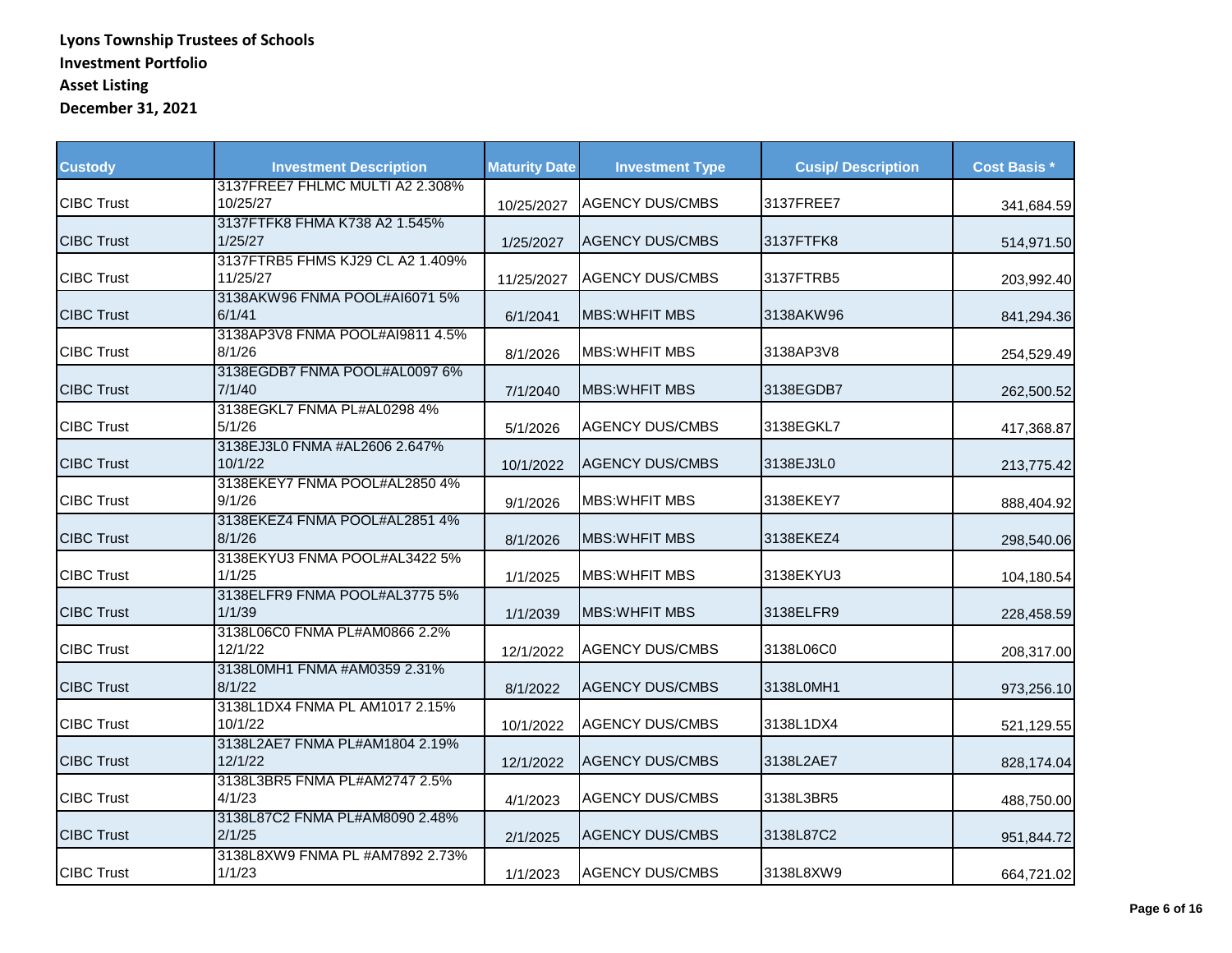| <b>Custody</b>    | <b>Investment Description</b>                | <b>Maturity Date</b> | <b>Investment Type</b> | <b>Cusip/Description</b> | <b>Cost Basis *</b> |
|-------------------|----------------------------------------------|----------------------|------------------------|--------------------------|---------------------|
| <b>CIBC Trust</b> | 3137FREE7 FHLMC MULTI A2 2.308%<br>10/25/27  | 10/25/2027           | <b>AGENCY DUS/CMBS</b> | 3137FREE7                | 341,684.59          |
| <b>CIBC Trust</b> | 3137FTFK8 FHMA K738 A2 1.545%<br>1/25/27     | 1/25/2027            | <b>AGENCY DUS/CMBS</b> | 3137FTFK8                | 514,971.50          |
| <b>CIBC Trust</b> | 3137FTRB5 FHMS KJ29 CL A2 1.409%<br>11/25/27 | 11/25/2027           | <b>AGENCY DUS/CMBS</b> | 3137FTRB5                | 203,992.40          |
| <b>CIBC Trust</b> | 3138AKW96 FNMA POOL#AI6071 5%<br>6/1/41      | 6/1/2041             | <b>MBS: WHEIT MBS</b>  | 3138AKW96                | 841,294.36          |
| <b>CIBC Trust</b> | 3138AP3V8 FNMA POOL#AI9811 4.5%<br>8/1/26    | 8/1/2026             | <b>MBS: WHEIT MBS</b>  | 3138AP3V8                | 254,529.49          |
| <b>CIBC Trust</b> | 3138EGDB7 FNMA POOL#AL0097 6%<br>7/1/40      | 7/1/2040             | <b>MBS: WHFIT MBS</b>  | 3138EGDB7                | 262,500.52          |
| <b>CIBC Trust</b> | 3138EGKL7 FNMA PL#AL0298 4%<br>5/1/26        | 5/1/2026             | <b>AGENCY DUS/CMBS</b> | 3138EGKL7                | 417,368.87          |
| <b>CIBC Trust</b> | 3138EJ3L0 FNMA #AL2606 2.647%<br>10/1/22     | 10/1/2022            | <b>AGENCY DUS/CMBS</b> | 3138EJ3L0                | 213,775.42          |
| <b>CIBC Trust</b> | 3138EKEY7 FNMA POOL#AL2850 4%<br>9/1/26      | 9/1/2026             | <b>MBS: WHEIT MBS</b>  | 3138EKEY7                | 888,404.92          |
| <b>CIBC Trust</b> | 3138EKEZ4 FNMA POOL#AL2851 4%<br>8/1/26      | 8/1/2026             | <b>MBS:WHFIT MBS</b>   | 3138EKEZ4                | 298,540.06          |
| <b>CIBC Trust</b> | 3138EKYU3 FNMA POOL#AL3422 5%<br>1/1/25      | 1/1/2025             | <b>MBS: WHEIT MBS</b>  | 3138EKYU3                | 104,180.54          |
| <b>CIBC Trust</b> | 3138ELFR9 FNMA POOL#AL3775 5%<br>1/1/39      | 1/1/2039             | <b>MBS: WHEIT MBS</b>  | 3138ELFR9                | 228,458.59          |
| <b>CIBC Trust</b> | 3138L06C0 FNMA PL#AM0866 2.2%<br>12/1/22     | 12/1/2022            | <b>AGENCY DUS/CMBS</b> | 3138L06C0                | 208,317.00          |
| <b>CIBC Trust</b> | 3138L0MH1 FNMA #AM0359 2.31%<br>8/1/22       | 8/1/2022             | <b>AGENCY DUS/CMBS</b> | 3138L0MH1                | 973,256.10          |
| <b>CIBC Trust</b> | 3138L1DX4 FNMA PL AM1017 2.15%<br>10/1/22    | 10/1/2022            | <b>AGENCY DUS/CMBS</b> | 3138L1DX4                | 521,129.55          |
| <b>CIBC Trust</b> | 3138L2AE7 FNMA PL#AM1804 2.19%<br>12/1/22    | 12/1/2022            | <b>AGENCY DUS/CMBS</b> | 3138L2AE7                | 828,174.04          |
| <b>CIBC Trust</b> | 3138L3BR5 FNMA PL#AM2747 2.5%<br>4/1/23      | 4/1/2023             | <b>AGENCY DUS/CMBS</b> | 3138L3BR5                | 488,750.00          |
| <b>CIBC Trust</b> | 3138L87C2 FNMA PL#AM8090 2.48%<br>2/1/25     | 2/1/2025             | <b>AGENCY DUS/CMBS</b> | 3138L87C2                | 951,844.72          |
| <b>CIBC Trust</b> | 3138L8XW9 FNMA PL #AM7892 2.73%<br>1/1/23    | 1/1/2023             | <b>AGENCY DUS/CMBS</b> | 3138L8XW9                | 664,721.02          |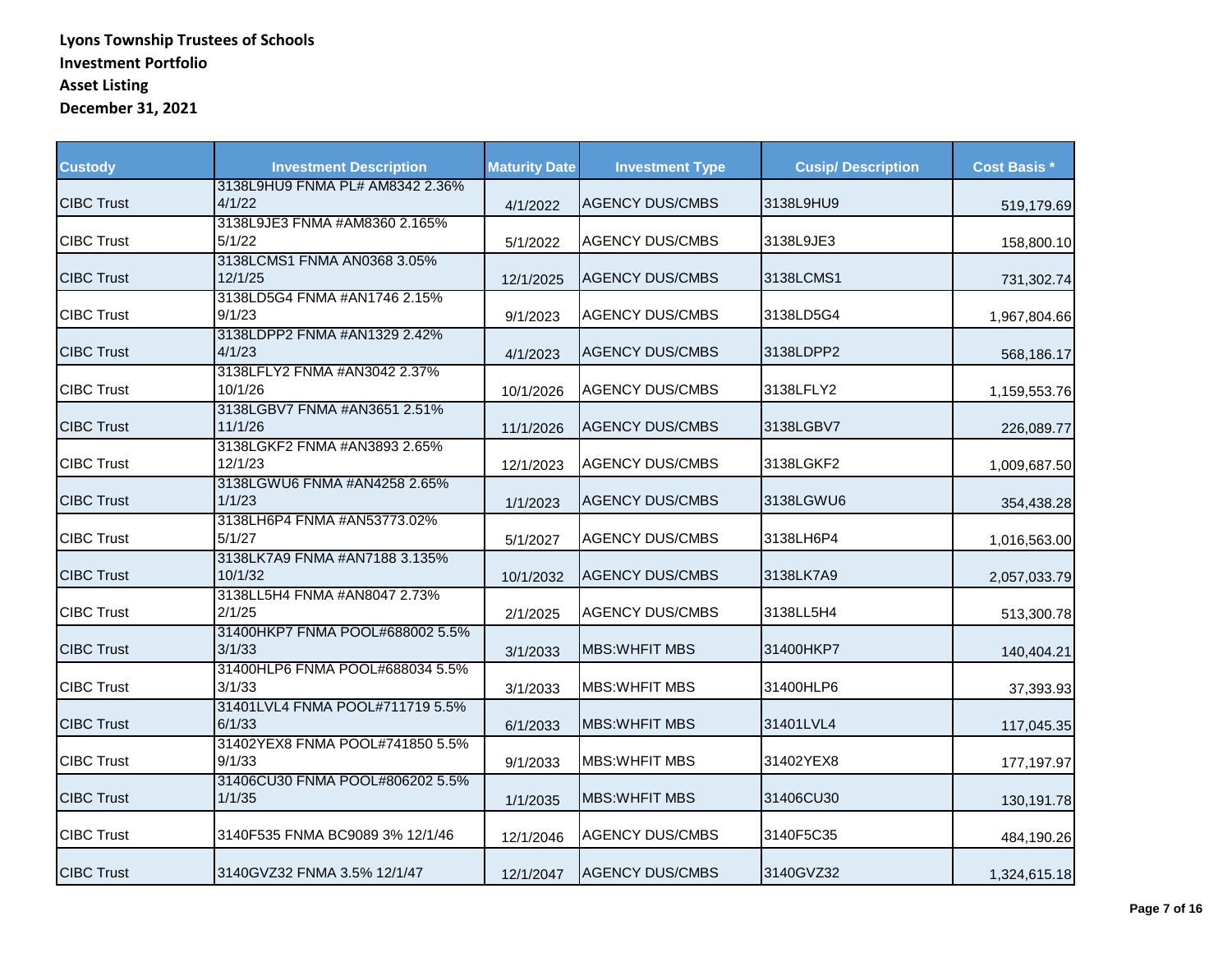| <b>Custody</b>    | <b>Investment Description</b>             | <b>Maturity Date</b> | <b>Investment Type</b> | <b>Cusip/Description</b> | <b>Cost Basis *</b> |
|-------------------|-------------------------------------------|----------------------|------------------------|--------------------------|---------------------|
| <b>CIBC Trust</b> | 3138L9HU9 FNMA PL# AM8342 2.36%<br>4/1/22 | 4/1/2022             | <b>AGENCY DUS/CMBS</b> | 3138L9HU9                | 519,179.69          |
| <b>CIBC Trust</b> | 3138L9JE3 FNMA #AM8360 2.165%<br>5/1/22   | 5/1/2022             | <b>AGENCY DUS/CMBS</b> | 3138L9JE3                | 158,800.10          |
| <b>CIBC Trust</b> | 3138LCMS1 FNMA AN0368 3.05%<br>12/1/25    | 12/1/2025            | <b>AGENCY DUS/CMBS</b> | 3138LCMS1                | 731,302.74          |
| <b>CIBC Trust</b> | 3138LD5G4 FNMA #AN1746 2.15%<br>9/1/23    | 9/1/2023             | <b>AGENCY DUS/CMBS</b> | 3138LD5G4                | 1,967,804.66        |
| <b>CIBC Trust</b> | 3138LDPP2 FNMA #AN1329 2.42%<br>4/1/23    | 4/1/2023             | <b>AGENCY DUS/CMBS</b> | 3138LDPP2                | 568,186.17          |
| <b>CIBC Trust</b> | 3138LFLY2 FNMA #AN3042 2.37%<br>10/1/26   | 10/1/2026            | <b>AGENCY DUS/CMBS</b> | 3138LFLY2                | 1,159,553.76        |
| <b>CIBC Trust</b> | 3138LGBV7 FNMA #AN3651 2.51%<br>11/1/26   | 11/1/2026            | <b>AGENCY DUS/CMBS</b> | 3138LGBV7                | 226,089.77          |
| <b>CIBC Trust</b> | 3138LGKF2 FNMA #AN3893 2.65%<br>12/1/23   | 12/1/2023            | <b>AGENCY DUS/CMBS</b> | 3138LGKF2                | 1,009,687.50        |
| <b>CIBC Trust</b> | 3138LGWU6 FNMA #AN4258 2.65%<br>1/1/23    | 1/1/2023             | <b>AGENCY DUS/CMBS</b> | 3138LGWU6                | 354,438.28          |
| <b>CIBC Trust</b> | 3138LH6P4 FNMA #AN53773.02%<br>5/1/27     | 5/1/2027             | <b>AGENCY DUS/CMBS</b> | 3138LH6P4                | 1,016,563.00        |
| <b>CIBC Trust</b> | 3138LK7A9 FNMA #AN7188 3.135%<br>10/1/32  | 10/1/2032            | <b>AGENCY DUS/CMBS</b> | 3138LK7A9                | 2,057,033.79        |
| <b>CIBC Trust</b> | 3138LL5H4 FNMA #AN8047 2.73%<br>2/1/25    | 2/1/2025             | <b>AGENCY DUS/CMBS</b> | 3138LL5H4                | 513,300.78          |
| <b>CIBC Trust</b> | 31400HKP7 FNMA POOL#688002 5.5%<br>3/1/33 | 3/1/2033             | <b>MBS: WHEIT MBS</b>  | 31400HKP7                | 140,404.21          |
| <b>CIBC Trust</b> | 31400HLP6 FNMA POOL#688034 5.5%<br>3/1/33 | 3/1/2033             | <b>MBS: WHEIT MBS</b>  | 31400HLP6                | 37,393.93           |
| <b>CIBC Trust</b> | 31401LVL4 FNMA POOL#711719 5.5%<br>6/1/33 | 6/1/2033             | <b>MBS: WHEIT MBS</b>  | 31401LVL4                | 117,045.35          |
| <b>CIBC Trust</b> | 31402YEX8 FNMA POOL#741850 5.5%<br>9/1/33 | 9/1/2033             | <b>MBS: WHEIT MBS</b>  | 31402YEX8                | 177,197.97          |
| <b>CIBC Trust</b> | 31406CU30 FNMA POOL#806202 5.5%<br>1/1/35 | 1/1/2035             | <b>MBS: WHFIT MBS</b>  | 31406CU30                | 130,191.78          |
| <b>CIBC Trust</b> | 3140F535 FNMA BC9089 3% 12/1/46           | 12/1/2046            | <b>AGENCY DUS/CMBS</b> | 3140F5C35                | 484,190.26          |
| <b>CIBC Trust</b> | 3140GVZ32 FNMA 3.5% 12/1/47               | 12/1/2047            | <b>AGENCY DUS/CMBS</b> | 3140GVZ32                | 1,324,615.18        |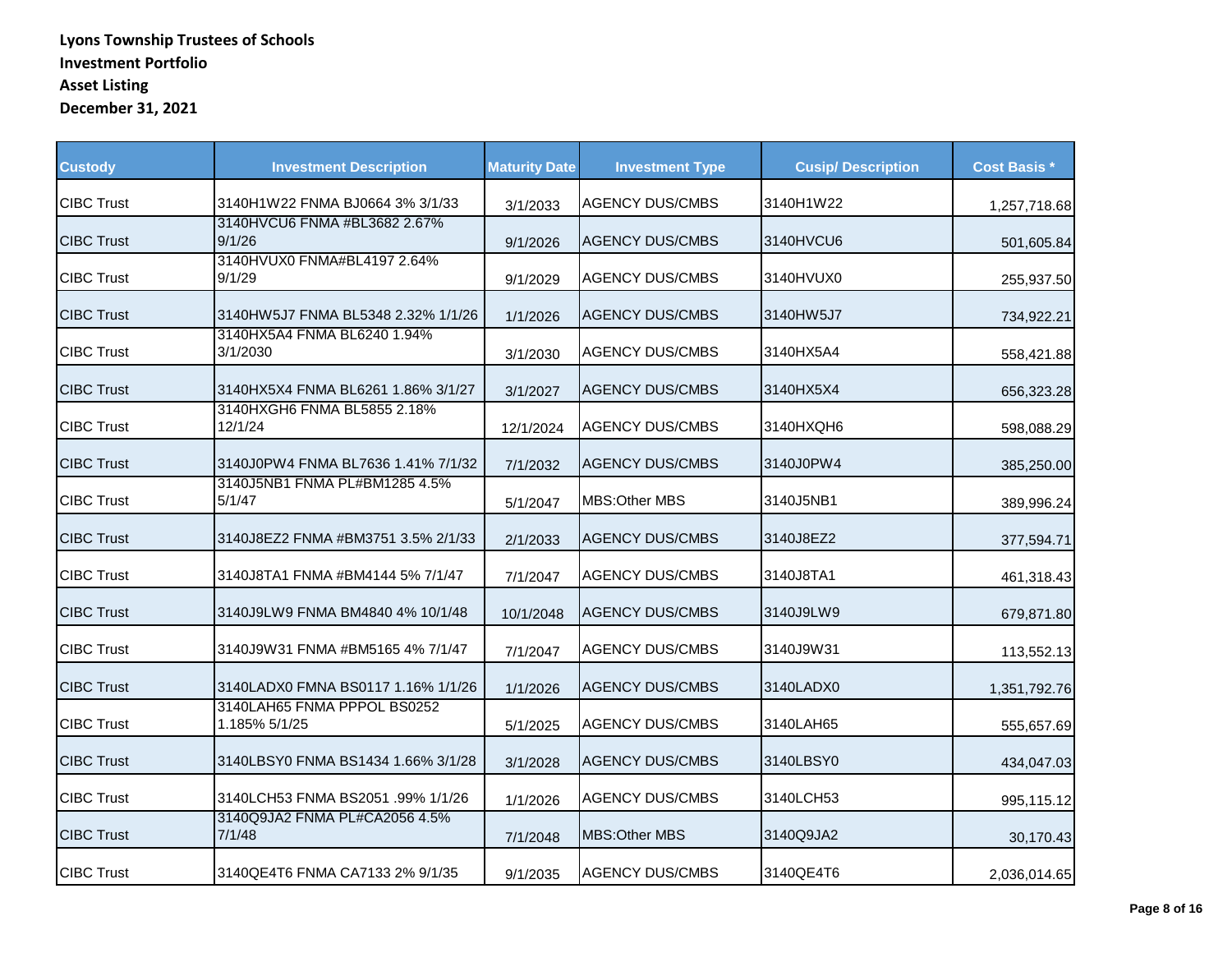| <b>Custody</b>    | <b>Investment Description</b>                | <b>Maturity Date</b> | <b>Investment Type</b> | <b>Cusip/Description</b> | <b>Cost Basis *</b> |
|-------------------|----------------------------------------------|----------------------|------------------------|--------------------------|---------------------|
| <b>CIBC Trust</b> | 3140H1W22 FNMA BJ0664 3% 3/1/33              | 3/1/2033             | <b>AGENCY DUS/CMBS</b> | 3140H1W22                | 1,257,718.68        |
| <b>CIBC Trust</b> | 3140HVCU6 FNMA #BL3682 2.67%<br>9/1/26       | 9/1/2026             | <b>AGENCY DUS/CMBS</b> | 3140HVCU6                | 501,605.84          |
| <b>CIBC Trust</b> | 3140HVUX0 FNMA#BL4197 2.64%<br>9/1/29        | 9/1/2029             | <b>AGENCY DUS/CMBS</b> | 3140HVUX0                | 255,937.50          |
| <b>CIBC Trust</b> | 3140HW5J7 FNMA BL5348 2.32% 1/1/26           | 1/1/2026             | <b>AGENCY DUS/CMBS</b> | 3140HW5J7                | 734,922.21          |
| <b>CIBC Trust</b> | 3140HX5A4 FNMA BL6240 1.94%<br>3/1/2030      | 3/1/2030             | <b>AGENCY DUS/CMBS</b> | 3140HX5A4                | 558,421.88          |
| <b>CIBC Trust</b> | 3140HX5X4 FNMA BL6261 1.86% 3/1/27           | 3/1/2027             | <b>AGENCY DUS/CMBS</b> | 3140HX5X4                | 656,323.28          |
| <b>CIBC Trust</b> | 3140HXGH6 FNMA BL5855 2.18%<br>12/1/24       | 12/1/2024            | <b>AGENCY DUS/CMBS</b> | 3140HXQH6                | 598,088.29          |
| <b>CIBC Trust</b> | 3140J0PW4 FNMA BL7636 1.41% 7/1/32           | 7/1/2032             | <b>AGENCY DUS/CMBS</b> | 3140J0PW4                | 385,250.00          |
| <b>CIBC Trust</b> | 3140J5NB1 FNMA PL#BM1285 4.5%<br>5/1/47      | 5/1/2047             | MBS: Other MBS         | 3140J5NB1                | 389,996.24          |
| <b>CIBC Trust</b> | 3140J8EZ2 FNMA #BM3751 3.5% 2/1/33           | 2/1/2033             | <b>AGENCY DUS/CMBS</b> | 3140J8EZ2                | 377,594.71          |
| <b>CIBC Trust</b> | 3140J8TA1 FNMA #BM4144 5% 7/1/47             | 7/1/2047             | <b>AGENCY DUS/CMBS</b> | 3140J8TA1                | 461,318.43          |
| <b>CIBC Trust</b> | 3140J9LW9 FNMA BM4840 4% 10/1/48             | 10/1/2048            | <b>AGENCY DUS/CMBS</b> | 3140J9LW9                | 679,871.80          |
| <b>CIBC Trust</b> | 3140J9W31 FNMA #BM5165 4% 7/1/47             | 7/1/2047             | <b>AGENCY DUS/CMBS</b> | 3140J9W31                | 113,552.13          |
| <b>CIBC Trust</b> | 3140LADX0 FMNA BS0117 1.16% 1/1/26           | 1/1/2026             | <b>AGENCY DUS/CMBS</b> | 3140LADX0                | 1,351,792.76        |
| <b>CIBC Trust</b> | 3140LAH65 FNMA PPPOL BS0252<br>1.185% 5/1/25 | 5/1/2025             | <b>AGENCY DUS/CMBS</b> | 3140LAH65                | 555,657.69          |
| <b>CIBC Trust</b> | 3140LBSY0 FNMA BS1434 1.66% 3/1/28           | 3/1/2028             | <b>AGENCY DUS/CMBS</b> | 3140LBSY0                | 434,047.03          |
| <b>CIBC Trust</b> | 3140LCH53 FNMA BS2051 .99% 1/1/26            | 1/1/2026             | <b>AGENCY DUS/CMBS</b> | 3140LCH53                | 995,115.12          |
| <b>CIBC Trust</b> | 3140Q9JA2 FNMA PL#CA2056 4.5%<br>7/1/48      | 7/1/2048             | MBS: Other MBS         | 3140Q9JA2                | 30,170.43           |
| <b>CIBC Trust</b> | 3140QE4T6 FNMA CA7133 2% 9/1/35              | 9/1/2035             | <b>AGENCY DUS/CMBS</b> | 3140QE4T6                | 2,036,014.65        |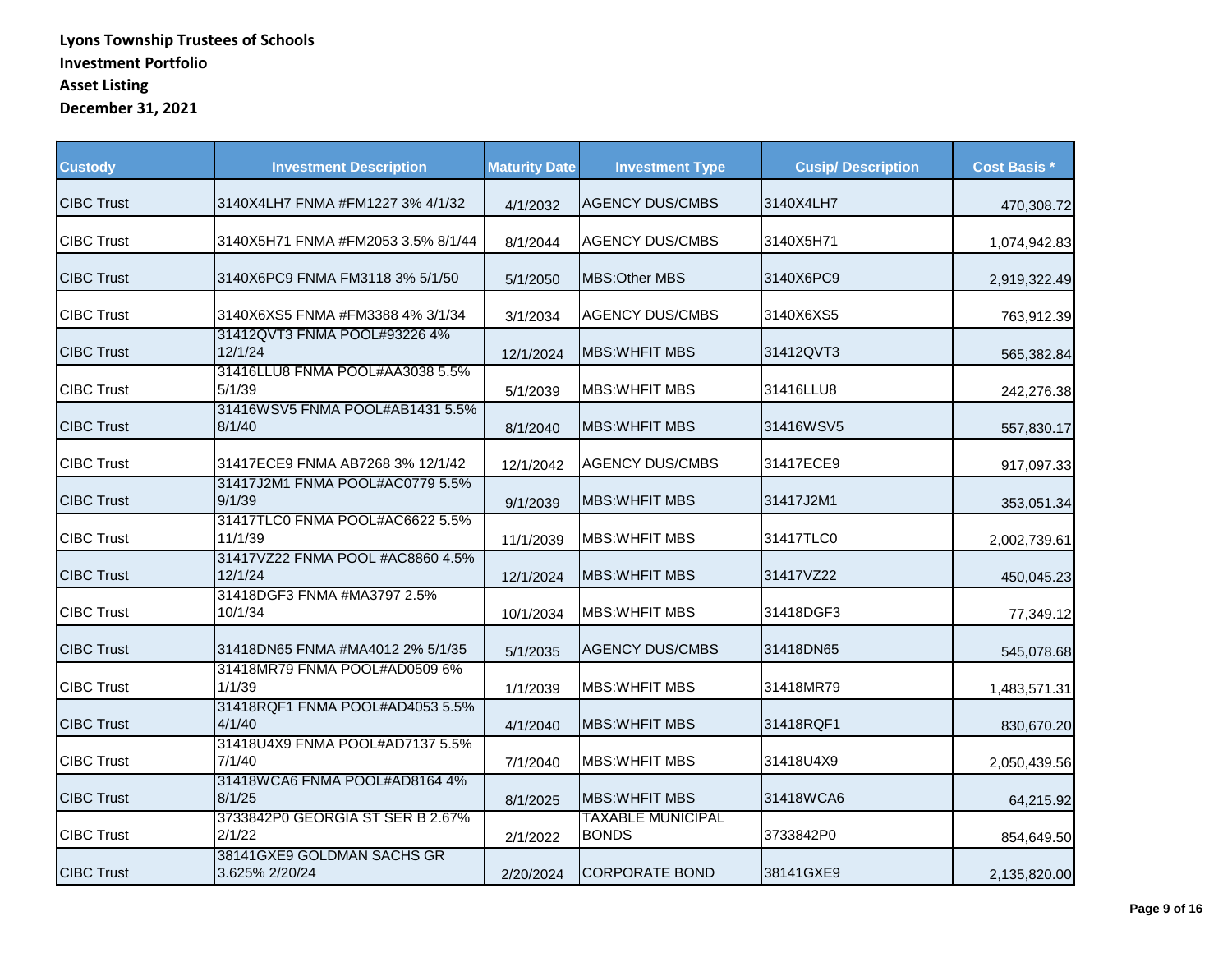| <b>Custody</b>    | <b>Investment Description</b>                | <b>Maturity Date</b> | <b>Investment Type</b>                   | <b>Cusip/Description</b> | <b>Cost Basis *</b> |
|-------------------|----------------------------------------------|----------------------|------------------------------------------|--------------------------|---------------------|
| <b>CIBC Trust</b> | 3140X4LH7 FNMA #FM1227 3% 4/1/32             | 4/1/2032             | <b>AGENCY DUS/CMBS</b>                   | 3140X4LH7                | 470,308.72          |
| <b>CIBC Trust</b> | 3140X5H71 FNMA #FM2053 3.5% 8/1/44           | 8/1/2044             | <b>AGENCY DUS/CMBS</b>                   | 3140X5H71                | 1,074,942.83        |
| <b>CIBC Trust</b> | 3140X6PC9 FNMA FM3118 3% 5/1/50              | 5/1/2050             | MBS: Other MBS                           | 3140X6PC9                | 2,919,322.49        |
| <b>CIBC Trust</b> | 3140X6XS5 FNMA #FM3388 4% 3/1/34             | 3/1/2034             | <b>AGENCY DUS/CMBS</b>                   | 3140X6XS5                | 763,912.39          |
| <b>CIBC Trust</b> | 31412QVT3 FNMA POOL#93226 4%<br>12/1/24      | 12/1/2024            | <b>IMBS:WHFIT MBS</b>                    | 31412QVT3                | 565,382.84          |
| <b>CIBC Trust</b> | 31416LLU8 FNMA POOL#AA3038 5.5%<br>5/1/39    | 5/1/2039             | <b>MBS: WHFIT MBS</b>                    | 31416LLU8                | 242,276.38          |
| <b>CIBC Trust</b> | 31416WSV5 FNMA POOL#AB1431 5.5%<br>8/1/40    | 8/1/2040             | <b>MBS: WHFIT MBS</b>                    | 31416WSV5                | 557,830.17          |
| <b>CIBC Trust</b> | 31417ECE9 FNMA AB7268 3% 12/1/42             | 12/1/2042            | <b>AGENCY DUS/CMBS</b>                   | 31417ECE9                | 917,097.33          |
| <b>CIBC Trust</b> | 31417J2M1 FNMA POOL#AC0779 5.5%<br>9/1/39    | 9/1/2039             | <b>MBS: WHEIT MBS</b>                    | 31417J2M1                | 353,051.34          |
| <b>CIBC Trust</b> | 31417TLC0 FNMA POOL#AC6622 5.5%<br>11/1/39   | 11/1/2039            | <b>MBS:WHFIT MBS</b>                     | 31417TLC0                | 2,002,739.61        |
| <b>CIBC Trust</b> | 31417VZ22 FNMA POOL #AC8860 4.5%<br>12/1/24  | 12/1/2024            | <b>MBS:WHFIT MBS</b>                     | 31417VZ22                | 450,045.23          |
| <b>CIBC Trust</b> | 31418DGF3 FNMA #MA3797 2.5%<br>10/1/34       | 10/1/2034            | <b>MBS:WHFIT MBS</b>                     | 31418DGF3                | 77,349.12           |
| <b>CIBC Trust</b> | 31418DN65 FNMA #MA4012 2% 5/1/35             | 5/1/2035             | <b>AGENCY DUS/CMBS</b>                   | 31418DN65                | 545,078.68          |
| <b>CIBC Trust</b> | 31418MR79 FNMA POOL#AD0509 6%<br>1/1/39      | 1/1/2039             | <b>MBS:WHFIT MBS</b>                     | 31418MR79                | 1,483,571.31        |
| <b>CIBC Trust</b> | 31418RQF1 FNMA POOL#AD4053 5.5%<br>4/1/40    | 4/1/2040             | <b>MBS: WHEIT MBS</b>                    | 31418RQF1                | 830,670.20          |
| <b>CIBC Trust</b> | 31418U4X9 FNMA POOL#AD7137 5.5%<br>7/1/40    | 7/1/2040             | <b>MBS: WHEIT MBS</b>                    | 31418U4X9                | 2,050,439.56        |
| <b>CIBC Trust</b> | 31418WCA6 FNMA POOL#AD8164 4%<br>8/1/25      | 8/1/2025             | <b>MBS: WHEIT MBS</b>                    | 31418WCA6                | 64,215.92           |
| <b>CIBC Trust</b> | 3733842P0 GEORGIA ST SER B 2.67%<br>2/1/22   | 2/1/2022             | <b>TAXABLE MUNICIPAL</b><br><b>BONDS</b> | 3733842P0                | 854,649.50          |
| <b>CIBC Trust</b> | 38141GXE9 GOLDMAN SACHS GR<br>3.625% 2/20/24 | 2/20/2024            | <b>CORPORATE BOND</b>                    | 38141GXE9                | 2,135,820.00        |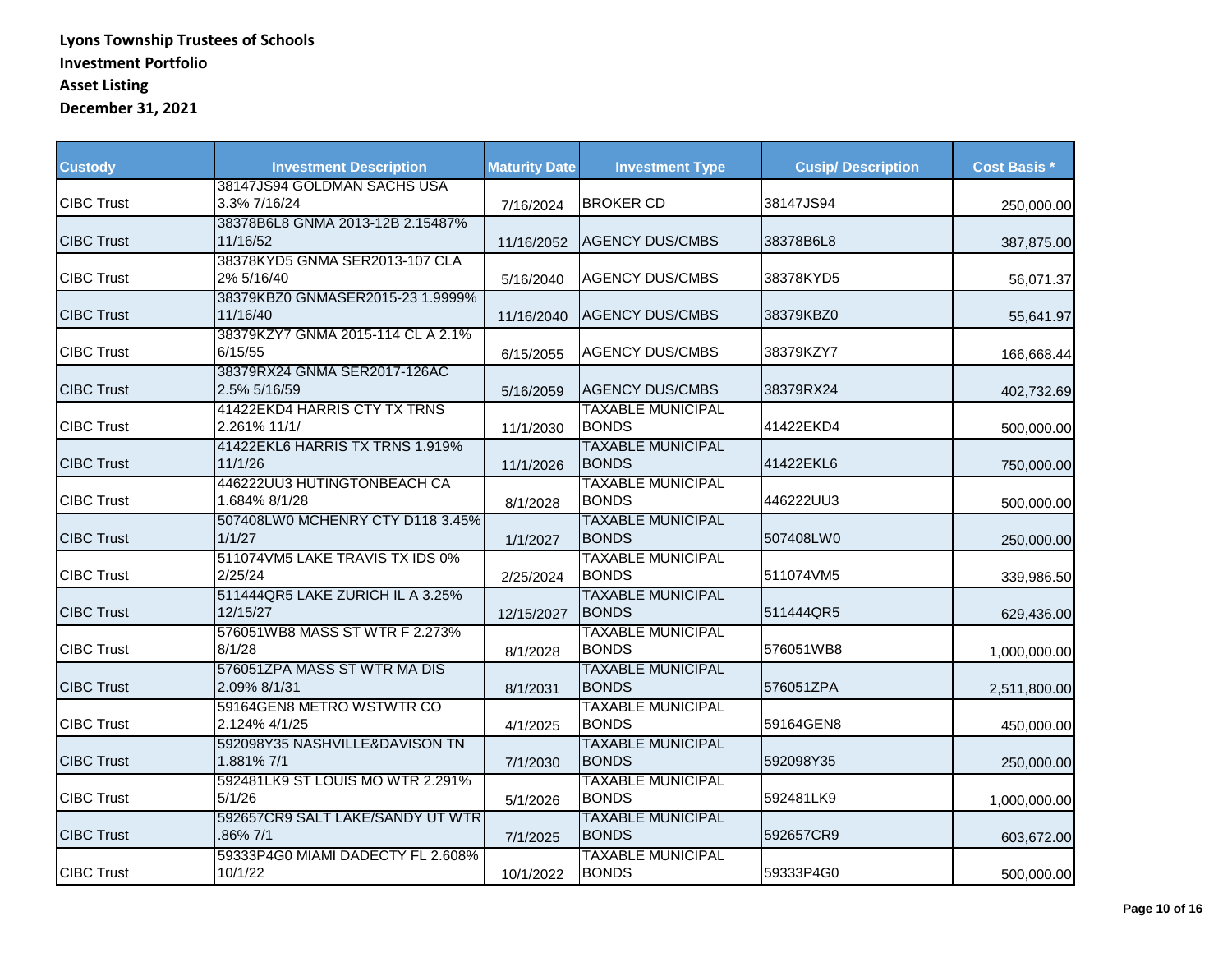| <b>Custody</b>    | <b>Investment Description</b>                | <b>Maturity Date</b> | <b>Investment Type</b>                   | <b>Cusip/Description</b> | <b>Cost Basis *</b> |
|-------------------|----------------------------------------------|----------------------|------------------------------------------|--------------------------|---------------------|
| <b>CIBC Trust</b> | 38147JS94 GOLDMAN SACHS USA<br>3.3% 7/16/24  | 7/16/2024            | <b>BROKER CD</b>                         | 38147JS94                | 250,000.00          |
| <b>CIBC Trust</b> | 38378B6L8 GNMA 2013-12B 2.15487%<br>11/16/52 | 11/16/2052           | <b>AGENCY DUS/CMBS</b>                   | 38378B6L8                | 387,875.00          |
| <b>CIBC Trust</b> | 38378KYD5 GNMA SER2013-107 CLA<br>2% 5/16/40 | 5/16/2040            | <b>AGENCY DUS/CMBS</b>                   | 38378KYD5                | 56,071.37           |
| <b>CIBC Trust</b> | 38379KBZ0 GNMASER2015-23 1.9999%<br>11/16/40 | 11/16/2040           | <b>AGENCY DUS/CMBS</b>                   | 38379KBZ0                | 55,641.97           |
| <b>CIBC Trust</b> | 38379KZY7 GNMA 2015-114 CL A 2.1%<br>6/15/55 | 6/15/2055            | <b>AGENCY DUS/CMBS</b>                   | 38379KZY7                | 166,668.44          |
| <b>CIBC Trust</b> | 38379RX24 GNMA SER2017-126AC<br>2.5% 5/16/59 | 5/16/2059            | <b>AGENCY DUS/CMBS</b>                   | 38379RX24                | 402,732.69          |
| <b>CIBC Trust</b> | 41422EKD4 HARRIS CTY TX TRNS<br>2.261% 11/1/ | 11/1/2030            | <b>TAXABLE MUNICIPAL</b><br><b>BONDS</b> | 41422EKD4                | 500,000.00          |
| <b>CIBC Trust</b> | 41422EKL6 HARRIS TX TRNS 1.919%<br>11/1/26   | 11/1/2026            | <b>TAXABLE MUNICIPAL</b><br><b>BONDS</b> | 41422EKL6                | 750,000.00          |
| <b>CIBC Trust</b> | 446222UU3 HUTINGTONBEACH CA<br>1.684% 8/1/28 | 8/1/2028             | <b>TAXABLE MUNICIPAL</b><br><b>BONDS</b> | 446222UU3                | 500,000.00          |
| <b>CIBC Trust</b> | 507408LW0 MCHENRY CTY D118 3.45%<br>1/1/27   | 1/1/2027             | <b>TAXABLE MUNICIPAL</b><br><b>BONDS</b> | 507408LW0                | 250,000.00          |
| <b>CIBC Trust</b> | 511074VM5 LAKE TRAVIS TX IDS 0%<br>2/25/24   | 2/25/2024            | <b>TAXABLE MUNICIPAL</b><br><b>BONDS</b> | 511074VM5                | 339,986.50          |
| <b>CIBC Trust</b> | 511444QR5 LAKE ZURICH IL A 3.25%<br>12/15/27 | 12/15/2027           | <b>TAXABLE MUNICIPAL</b><br><b>BONDS</b> | 511444QR5                | 629,436.00          |
| <b>CIBC Trust</b> | 576051WB8 MASS ST WTR F 2.273%<br>8/1/28     | 8/1/2028             | <b>TAXABLE MUNICIPAL</b><br><b>BONDS</b> | 576051WB8                | 1,000,000.00        |
| <b>CIBC Trust</b> | 576051ZPA MASS ST WTR MA DIS<br>2.09% 8/1/31 | 8/1/2031             | <b>TAXABLE MUNICIPAL</b><br><b>BONDS</b> | 576051ZPA                | 2,511,800.00        |
| <b>CIBC Trust</b> | 59164GEN8 METRO WSTWTR CO<br>2.124% 4/1/25   | 4/1/2025             | <b>TAXABLE MUNICIPAL</b><br><b>BONDS</b> | 59164GEN8                | 450,000.00          |
| <b>CIBC Trust</b> | 592098Y35 NASHVILLE&DAVISON TN<br>1.881% 7/1 | 7/1/2030             | <b>TAXABLE MUNICIPAL</b><br><b>BONDS</b> | 592098Y35                | 250,000.00          |
| <b>CIBC Trust</b> | 592481LK9 ST LOUIS MO WTR 2.291%<br>5/1/26   | 5/1/2026             | <b>TAXABLE MUNICIPAL</b><br><b>BONDS</b> | 592481LK9                | 1,000,000.00        |
| <b>CIBC Trust</b> | 592657CR9 SALT LAKE/SANDY UT WTR<br>.86% 7/1 | 7/1/2025             | <b>TAXABLE MUNICIPAL</b><br><b>BONDS</b> | 592657CR9                | 603,672.00          |
| <b>CIBC Trust</b> | 59333P4G0 MIAMI DADECTY FL 2.608%<br>10/1/22 | 10/1/2022            | <b>TAXABLE MUNICIPAL</b><br><b>BONDS</b> | 59333P4G0                | 500,000.00          |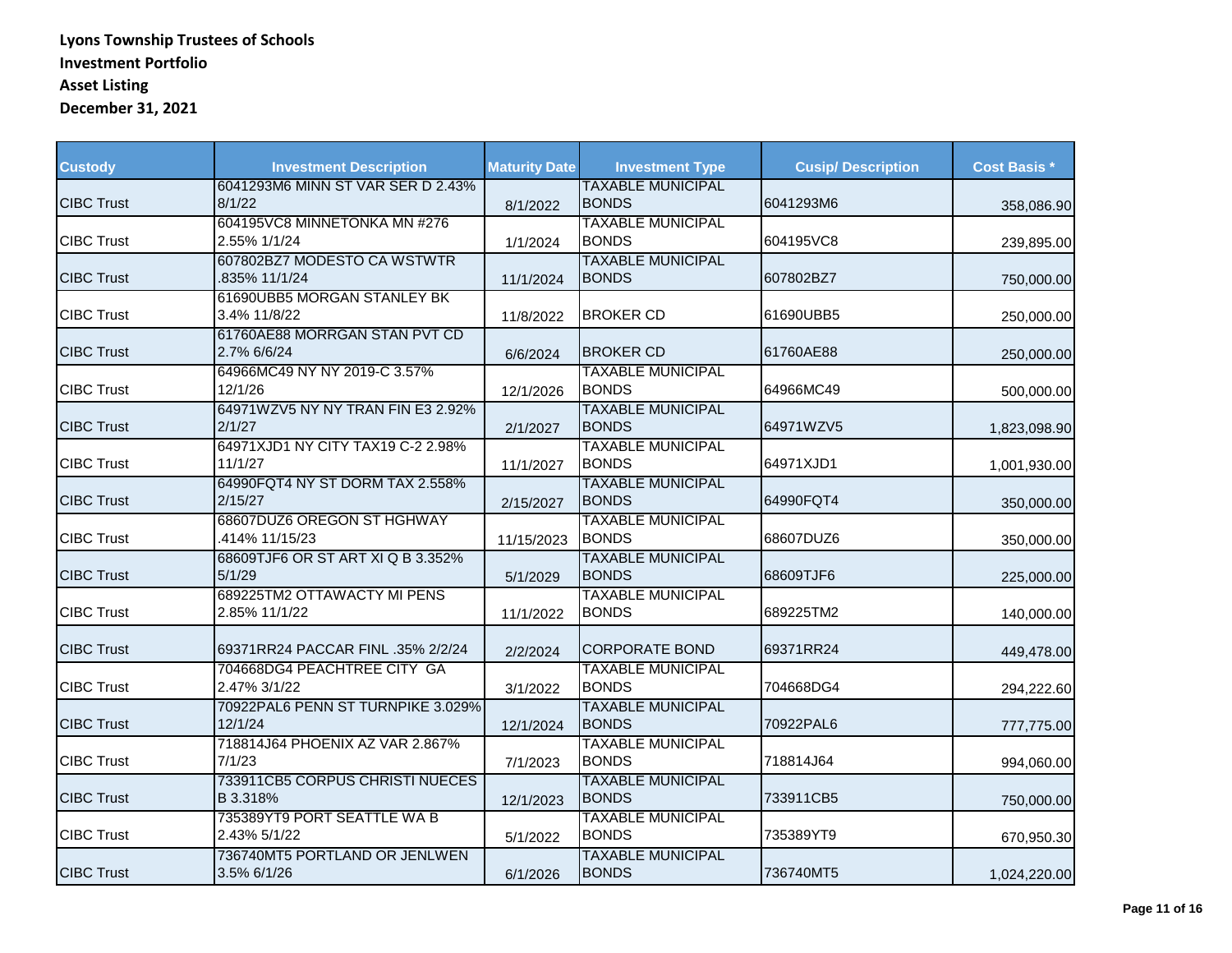| <b>Custody</b>    | <b>Investment Description</b>                                                | <b>Maturity Date</b> | <b>Investment Type</b>                                               | <b>Cusip/Description</b> | <b>Cost Basis *</b> |
|-------------------|------------------------------------------------------------------------------|----------------------|----------------------------------------------------------------------|--------------------------|---------------------|
| <b>CIBC Trust</b> | 6041293M6 MINN ST VAR SER D 2.43%<br>8/1/22                                  | 8/1/2022             | <b>TAXABLE MUNICIPAL</b><br><b>BONDS</b>                             | 6041293M6                | 358,086.90          |
| <b>CIBC Trust</b> | 604195VC8 MINNETONKA MN #276<br>2.55% 1/1/24                                 | 1/1/2024             | <b>TAXABLE MUNICIPAL</b><br><b>BONDS</b>                             | 604195VC8                | 239,895.00          |
| <b>CIBC Trust</b> | 607802BZ7 MODESTO CA WSTWTR<br>.835% 11/1/24                                 | 11/1/2024            | <b>TAXABLE MUNICIPAL</b><br><b>BONDS</b>                             | 607802BZ7                | 750,000.00          |
| <b>CIBC Trust</b> | 61690UBB5 MORGAN STANLEY BK<br>3.4% 11/8/22                                  | 11/8/2022            | <b>BROKER CD</b>                                                     | 61690UBB5                | 250,000.00          |
| <b>CIBC Trust</b> | 61760AE88 MORRGAN STAN PVT CD<br>2.7% 6/6/24                                 | 6/6/2024             | <b>BROKER CD</b>                                                     | 61760AE88                | 250,000.00          |
| <b>CIBC Trust</b> | 64966MC49 NY NY 2019-C 3.57%<br>12/1/26<br>64971WZV5 NY NY TRAN FIN E3 2.92% | 12/1/2026            | <b>TAXABLE MUNICIPAL</b><br><b>BONDS</b><br><b>TAXABLE MUNICIPAL</b> | 64966MC49                | 500,000.00          |
| <b>CIBC Trust</b> | 2/1/27<br>64971XJD1 NY CITY TAX19 C-2 2.98%                                  | 2/1/2027             | <b>BONDS</b><br><b>TAXABLE MUNICIPAL</b>                             | 64971WZV5                | 1,823,098.90        |
| <b>CIBC Trust</b> | 11/1/27<br>64990FQT4 NY ST DORM TAX 2.558%                                   | 11/1/2027            | <b>BONDS</b><br><b>TAXABLE MUNICIPAL</b>                             | 64971XJD1                | 1,001,930.00        |
| <b>CIBC Trust</b> | 2/15/27<br>68607DUZ6 OREGON ST HGHWAY                                        | 2/15/2027            | <b>BONDS</b><br><b>TAXABLE MUNICIPAL</b>                             | 64990FQT4                | 350,000.00          |
| <b>CIBC Trust</b> | .414% 11/15/23<br>68609TJF6 OR ST ART XI Q B 3.352%                          | 11/15/2023           | <b>BONDS</b><br><b>TAXABLE MUNICIPAL</b>                             | 68607DUZ6                | 350,000.00          |
| <b>CIBC Trust</b> | 5/1/29<br>689225TM2 OTTAWACTY MI PENS                                        | 5/1/2029             | <b>BONDS</b><br><b>TAXABLE MUNICIPAL</b>                             | 68609TJF6                | 225,000.00          |
| <b>CIBC Trust</b> | 2.85% 11/1/22                                                                | 11/1/2022            | <b>BONDS</b>                                                         | 689225TM2                | 140,000.00          |
| <b>CIBC Trust</b> | 69371RR24 PACCAR FINL .35% 2/2/24<br>704668DG4 PEACHTREE CITY GA             | 2/2/2024             | <b>CORPORATE BOND</b><br><b>TAXABLE MUNICIPAL</b>                    | 69371RR24                | 449,478.00          |
| <b>CIBC Trust</b> | 2.47% 3/1/22<br>70922PAL6 PENN ST TURNPIKE 3.029%                            | 3/1/2022             | <b>BONDS</b><br><b>TAXABLE MUNICIPAL</b>                             | 704668DG4                | 294,222.60          |
| <b>CIBC Trust</b> | 12/1/24<br>718814J64 PHOENIX AZ VAR 2.867%                                   | 12/1/2024            | <b>BONDS</b><br><b>TAXABLE MUNICIPAL</b>                             | 70922PAL6                | 777,775.00          |
| <b>CIBC Trust</b> | 7/1/23<br>733911CB5 CORPUS CHRISTI NUECES                                    | 7/1/2023             | <b>BONDS</b><br><b>TAXABLE MUNICIPAL</b>                             | 718814J64                | 994,060.00          |
| <b>CIBC Trust</b> | B 3.318%<br>735389YT9 PORT SEATTLE WA B                                      | 12/1/2023            | <b>BONDS</b><br><b>TAXABLE MUNICIPAL</b>                             | 733911CB5                | 750,000.00          |
| <b>CIBC Trust</b> | 2.43% 5/1/22<br>736740MT5 PORTLAND OR JENLWEN                                | 5/1/2022             | <b>BONDS</b><br><b>TAXABLE MUNICIPAL</b>                             | 735389YT9                | 670,950.30          |
| <b>CIBC Trust</b> | 3.5% 6/1/26                                                                  | 6/1/2026             | <b>BONDS</b>                                                         | 736740MT5                | 1,024,220.00        |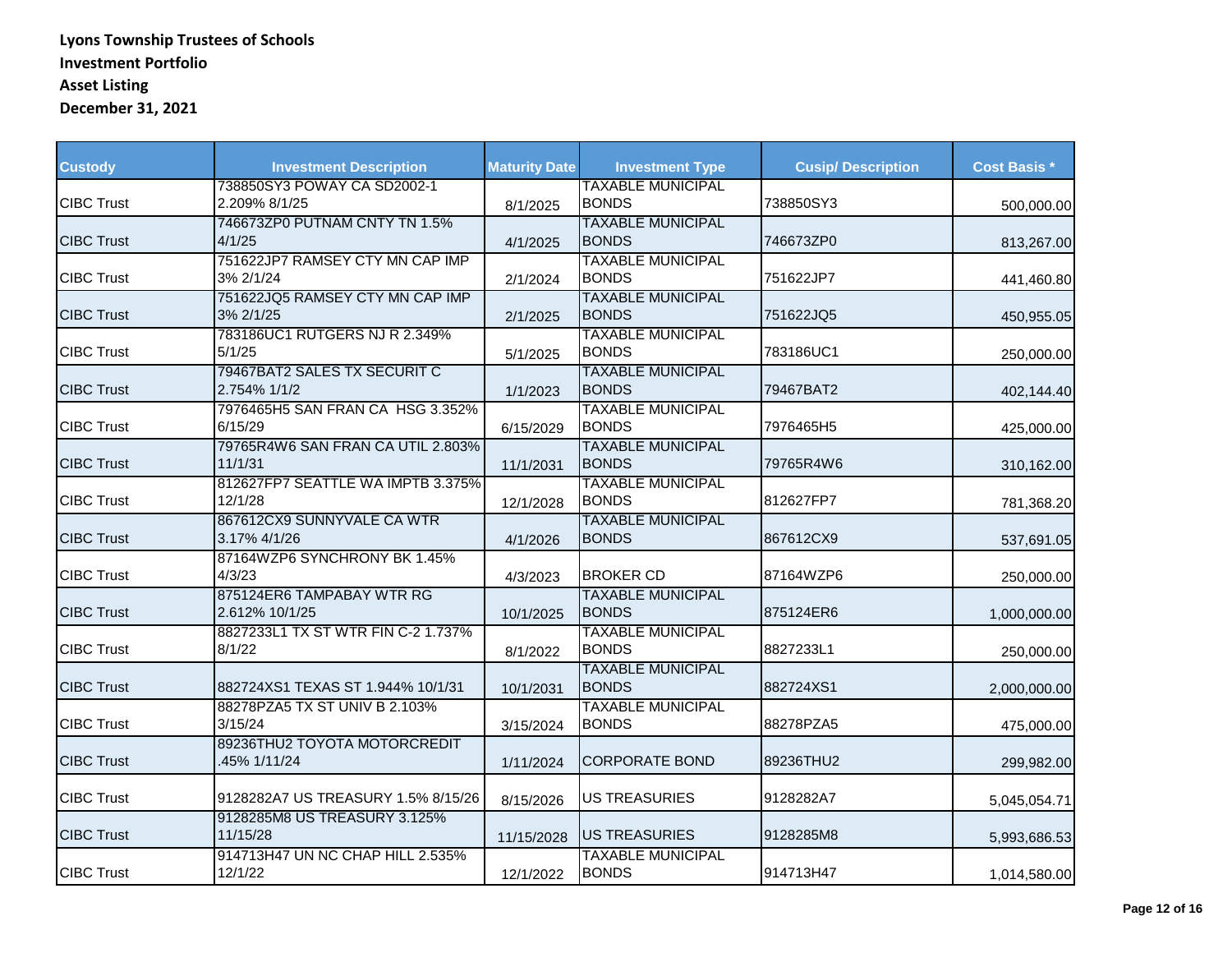| <b>Custody</b>    | <b>Investment Description</b>                | <b>Maturity Date</b> | <b>Investment Type</b>                   | <b>Cusip/Description</b> | <b>Cost Basis *</b> |
|-------------------|----------------------------------------------|----------------------|------------------------------------------|--------------------------|---------------------|
| <b>CIBC Trust</b> | 738850SY3 POWAY CA SD2002-1<br>2.209% 8/1/25 | 8/1/2025             | <b>TAXABLE MUNICIPAL</b><br><b>BONDS</b> | 738850SY3                | 500,000.00          |
| <b>CIBC Trust</b> | 746673ZP0 PUTNAM CNTY TN 1.5%<br>4/1/25      | 4/1/2025             | <b>TAXABLE MUNICIPAL</b><br><b>BONDS</b> | 746673ZP0                | 813,267.00          |
| <b>CIBC Trust</b> | 751622JP7 RAMSEY CTY MN CAP IMP<br>3% 2/1/24 | 2/1/2024             | <b>TAXABLE MUNICIPAL</b><br><b>BONDS</b> | 751622JP7                | 441,460.80          |
| <b>CIBC Trust</b> | 751622JQ5 RAMSEY CTY MN CAP IMP<br>3% 2/1/25 | 2/1/2025             | <b>TAXABLE MUNICIPAL</b><br><b>BONDS</b> | 751622JQ5                | 450,955.05          |
| <b>CIBC Trust</b> | 783186UC1 RUTGERS NJ R 2.349%<br>5/1/25      | 5/1/2025             | <b>TAXABLE MUNICIPAL</b><br><b>BONDS</b> | 783186UC1                | 250,000.00          |
| <b>CIBC Trust</b> | 79467BAT2 SALES TX SECURIT C<br>2.754% 1/1/2 | 1/1/2023             | <b>TAXABLE MUNICIPAL</b><br><b>BONDS</b> | 79467BAT2                | 402,144.40          |
| <b>CIBC Trust</b> | 7976465H5 SAN FRAN CA HSG 3.352%<br>6/15/29  | 6/15/2029            | <b>TAXABLE MUNICIPAL</b><br><b>BONDS</b> | 7976465H5                | 425,000.00          |
| <b>CIBC Trust</b> | 79765R4W6 SAN FRAN CA UTIL 2.803%<br>11/1/31 | 11/1/2031            | <b>TAXABLE MUNICIPAL</b><br><b>BONDS</b> | 79765R4W6                | 310,162.00          |
| <b>CIBC Trust</b> | 812627FP7 SEATTLE WA IMPTB 3.375%<br>12/1/28 | 12/1/2028            | <b>TAXABLE MUNICIPAL</b><br><b>BONDS</b> | 812627FP7                | 781,368.20          |
| <b>CIBC Trust</b> | 867612CX9 SUNNYVALE CA WTR<br>3.17% 4/1/26   | 4/1/2026             | <b>TAXABLE MUNICIPAL</b><br><b>BONDS</b> | 867612CX9                | 537,691.05          |
| <b>CIBC Trust</b> | 87164WZP6 SYNCHRONY BK 1.45%<br>4/3/23       | 4/3/2023             | <b>BROKER CD</b>                         | 87164WZP6                | 250,000.00          |
| <b>CIBC Trust</b> | 875124ER6 TAMPABAY WTR RG<br>2.612% 10/1/25  | 10/1/2025            | <b>TAXABLE MUNICIPAL</b><br><b>BONDS</b> | 875124ER6                | 1,000,000.00        |
| <b>CIBC Trust</b> | 8827233L1 TX ST WTR FIN C-2 1.737%<br>8/1/22 | 8/1/2022             | <b>TAXABLE MUNICIPAL</b><br><b>BONDS</b> | 8827233L1                | 250,000.00          |
| <b>CIBC Trust</b> | 882724XS1 TEXAS ST 1.944% 10/1/31            | 10/1/2031            | <b>TAXABLE MUNICIPAL</b><br><b>BONDS</b> | 882724XS1                | 2.000.000.00        |
| <b>CIBC Trust</b> | 88278PZA5 TX ST UNIV B 2.103%<br>3/15/24     | 3/15/2024            | <b>TAXABLE MUNICIPAL</b><br><b>BONDS</b> | 88278PZA5                | 475,000.00          |
| <b>CIBC Trust</b> | 89236THU2 TOYOTA MOTORCREDIT<br>45% 1/11/24  | 1/11/2024            | <b>CORPORATE BOND</b>                    | 89236THU2                | 299,982.00          |
| <b>CIBC Trust</b> | 9128282A7 US TREASURY 1.5% 8/15/26           | 8/15/2026            | <b>US TREASURIES</b>                     | 9128282A7                | 5,045,054.71        |
| <b>CIBC Trust</b> | 9128285M8 US TREASURY 3.125%<br>11/15/28     | 11/15/2028           | <b>US TREASURIES</b>                     | 9128285M8                | 5,993,686.53        |
| <b>CIBC Trust</b> | 914713H47 UN NC CHAP HILL 2.535%<br>12/1/22  | 12/1/2022            | <b>TAXABLE MUNICIPAL</b><br><b>BONDS</b> | 914713H47                | 1,014,580.00        |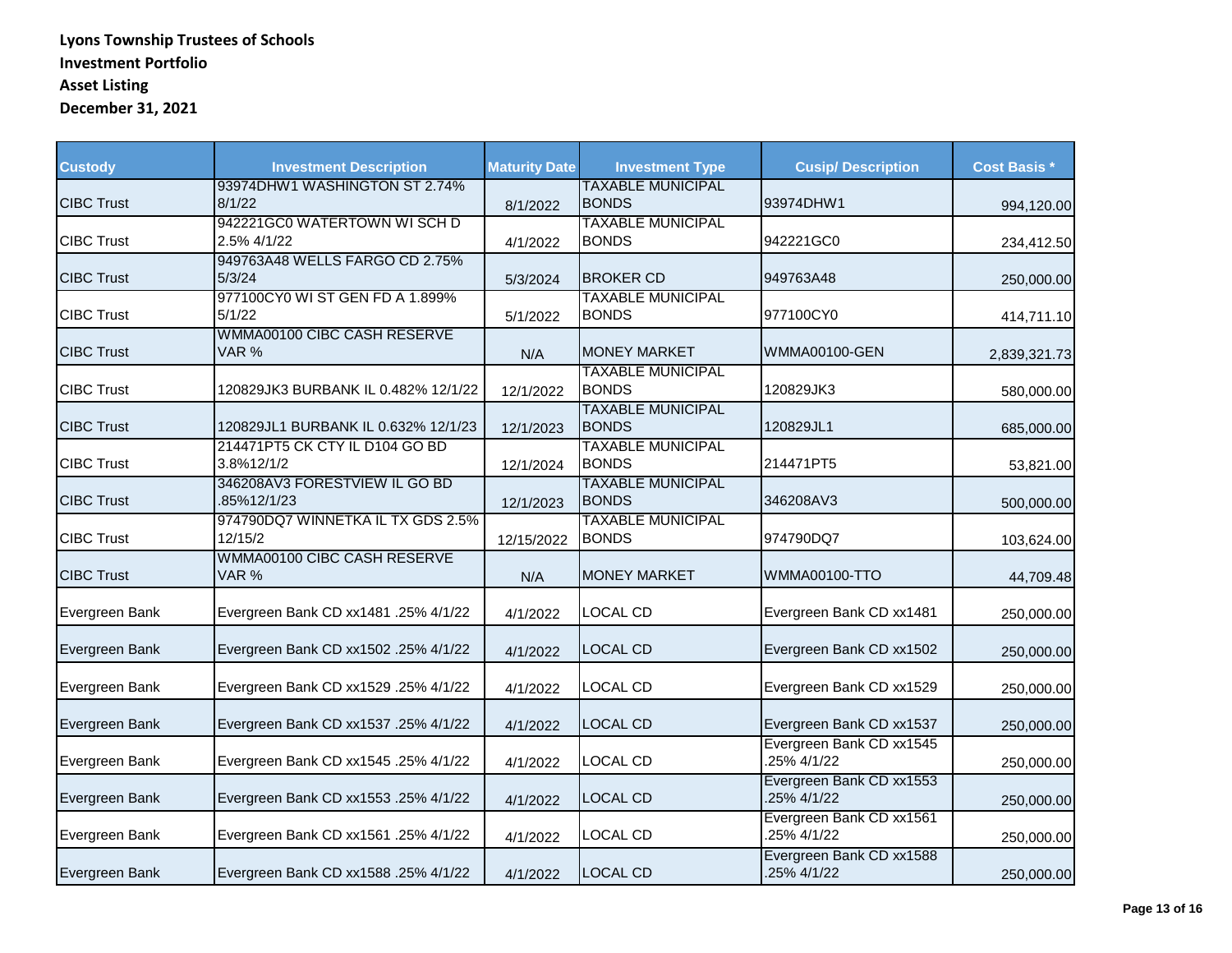| <b>Custody</b>    | <b>Investment Description</b>                | <b>Maturity Date</b> | <b>Investment Type</b>                   | <b>Cusip/Description</b>                | <b>Cost Basis *</b> |
|-------------------|----------------------------------------------|----------------------|------------------------------------------|-----------------------------------------|---------------------|
| <b>CIBC Trust</b> | 93974DHW1 WASHINGTON ST 2.74%<br>8/1/22      | 8/1/2022             | <b>TAXABLE MUNICIPAL</b><br><b>BONDS</b> | 93974DHW1                               | 994,120.00          |
| <b>CIBC Trust</b> | 942221GC0 WATERTOWN WISCHD<br>2.5% 4/1/22    | 4/1/2022             | <b>TAXABLE MUNICIPAL</b><br><b>BONDS</b> | 942221GC0                               | 234,412.50          |
| <b>CIBC Trust</b> | 949763A48 WELLS FARGO CD 2.75%<br>5/3/24     | 5/3/2024             | <b>BROKER CD</b>                         | 949763A48                               | 250,000.00          |
| <b>CIBC Trust</b> | 977100CY0 WI ST GEN FD A 1.899%<br>5/1/22    | 5/1/2022             | <b>TAXABLE MUNICIPAL</b><br><b>BONDS</b> | 977100CY0                               | 414,711.10          |
| <b>CIBC Trust</b> | WMMA00100 CIBC CASH RESERVE<br>VAR %         | N/A                  | IMONEY MARKET                            | <b>WMMA00100-GEN</b>                    | 2,839,321.73        |
| <b>CIBC Trust</b> | 120829JK3 BURBANK IL 0.482% 12/1/22          | 12/1/2022            | <b>TAXABLE MUNICIPAL</b><br><b>BONDS</b> | 120829JK3                               | 580,000.00          |
| <b>CIBC Trust</b> | 120829JL1 BURBANK IL 0.632% 12/1/23          | 12/1/2023            | <b>TAXABLE MUNICIPAL</b><br><b>BONDS</b> | 120829JL1                               | 685,000.00          |
| <b>CIBC Trust</b> | 214471PT5 CK CTY IL D104 GO BD<br>3.8%12/1/2 | 12/1/2024            | <b>TAXABLE MUNICIPAL</b><br><b>BONDS</b> | 214471PT5                               | 53,821.00           |
| <b>CIBC Trust</b> | 346208AV3 FORESTVIEW IL GO BD<br>85%12/1/23  | 12/1/2023            | <b>TAXABLE MUNICIPAL</b><br><b>BONDS</b> | 346208AV3                               | 500,000.00          |
| <b>CIBC Trust</b> | 974790DQ7 WINNETKA IL TX GDS 2.5%<br>12/15/2 | 12/15/2022           | <b>TAXABLE MUNICIPAL</b><br><b>BONDS</b> | 974790DQ7                               | 103,624.00          |
| <b>CIBC Trust</b> | WMMA00100 CIBC CASH RESERVE<br>VAR %         | N/A                  | <b>MONEY MARKET</b>                      | <b>WMMA00100-TTO</b>                    | 44,709.48           |
| Evergreen Bank    | Evergreen Bank CD xx1481 .25% 4/1/22         | 4/1/2022             | <b>LOCAL CD</b>                          | Evergreen Bank CD xx1481                | 250,000.00          |
| Evergreen Bank    | Evergreen Bank CD xx1502 .25% 4/1/22         | 4/1/2022             | <b>LOCAL CD</b>                          | Evergreen Bank CD xx1502                | 250,000.00          |
| Evergreen Bank    | Evergreen Bank CD xx1529 .25% 4/1/22         | 4/1/2022             | <b>LOCAL CD</b>                          | Evergreen Bank CD xx1529                | 250,000.00          |
| Evergreen Bank    | Evergreen Bank CD xx1537 .25% 4/1/22         | 4/1/2022             | <b>LOCAL CD</b>                          | Evergreen Bank CD xx1537                | 250,000.00          |
| Evergreen Bank    | Evergreen Bank CD xx1545 .25% 4/1/22         | 4/1/2022             | <b>LOCAL CD</b>                          | Evergreen Bank CD xx1545<br>.25% 4/1/22 | 250,000.00          |
| Evergreen Bank    | Evergreen Bank CD xx1553 .25% 4/1/22         | 4/1/2022             | LOCAL CD                                 | Evergreen Bank CD xx1553<br>.25% 4/1/22 | 250,000.00          |
| Evergreen Bank    | Evergreen Bank CD xx1561 .25% 4/1/22         | 4/1/2022             | <b>LOCAL CD</b>                          | Evergreen Bank CD xx1561<br>.25% 4/1/22 | 250,000.00          |
| Evergreen Bank    | Evergreen Bank CD xx1588 .25% 4/1/22         | 4/1/2022             | <b>LOCAL CD</b>                          | Evergreen Bank CD xx1588<br>25% 4/1/22  | 250,000.00          |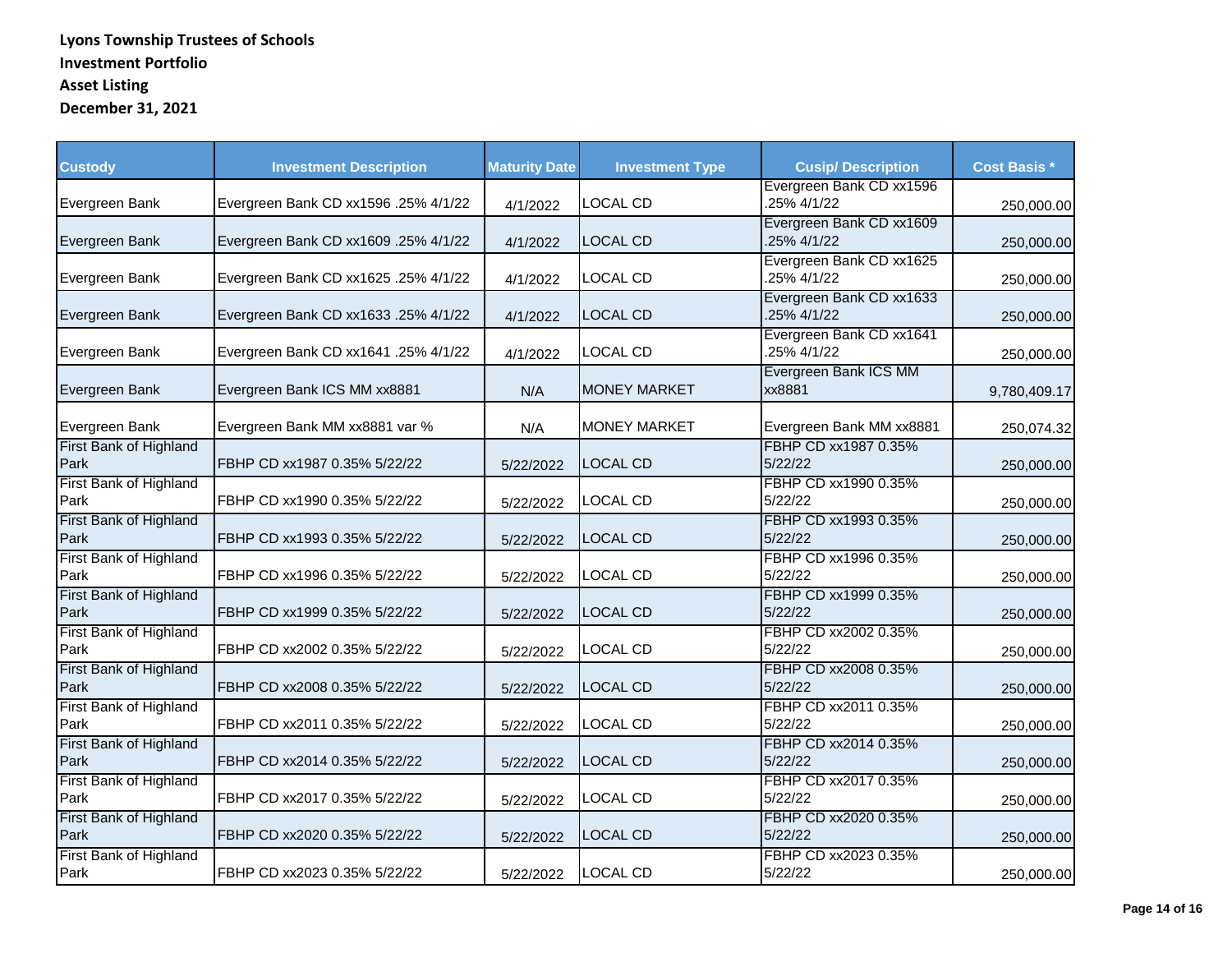| <b>Custody</b>                 | <b>Investment Description</b>        | <b>Maturity Date</b> | <b>Investment Type</b> | <b>Cusip/ Description</b>               | <b>Cost Basis *</b> |
|--------------------------------|--------------------------------------|----------------------|------------------------|-----------------------------------------|---------------------|
| Evergreen Bank                 | Evergreen Bank CD xx1596 .25% 4/1/22 | 4/1/2022             | LOCAL CD               | Evergreen Bank CD xx1596<br>.25% 4/1/22 | 250,000.00          |
| Evergreen Bank                 | Evergreen Bank CD xx1609 .25% 4/1/22 | 4/1/2022             | <b>LOCAL CD</b>        | Evergreen Bank CD xx1609<br>.25% 4/1/22 | 250,000.00          |
| Evergreen Bank                 | Evergreen Bank CD xx1625 .25% 4/1/22 | 4/1/2022             | <b>LOCAL CD</b>        | Evergreen Bank CD xx1625<br>.25% 4/1/22 | 250,000.00          |
| Evergreen Bank                 | Evergreen Bank CD xx1633 .25% 4/1/22 | 4/1/2022             | <b>LOCAL CD</b>        | Evergreen Bank CD xx1633<br>.25% 4/1/22 | 250,000.00          |
| Evergreen Bank                 | Evergreen Bank CD xx1641 .25% 4/1/22 | 4/1/2022             | <b>LOCAL CD</b>        | Evergreen Bank CD xx1641<br>.25% 4/1/22 | 250,000.00          |
| Evergreen Bank                 | Evergreen Bank ICS MM xx8881         | N/A                  | <b>MONEY MARKET</b>    | Evergreen Bank ICS MM<br>xx8881         | 9,780,409.17        |
| Evergreen Bank                 | Evergreen Bank MM xx8881 var %       | N/A                  | <b>MONEY MARKET</b>    | Evergreen Bank MM xx8881                | 250,074.32          |
| First Bank of Highland<br>Park | FBHP CD xx1987 0.35% 5/22/22         | 5/22/2022            | <b>LOCAL CD</b>        | FBHP CD xx1987 0.35%<br>5/22/22         | 250,000.00          |
| First Bank of Highland<br>Park | FBHP CD xx1990 0.35% 5/22/22         | 5/22/2022            | <b>LOCAL CD</b>        | FBHP CD xx1990 0.35%<br>5/22/22         | 250,000.00          |
| First Bank of Highland<br>Park | FBHP CD xx1993 0.35% 5/22/22         | 5/22/2022            | <b>LOCAL CD</b>        | FBHP CD xx1993 0.35%<br>5/22/22         | 250,000.00          |
| First Bank of Highland<br>Park | FBHP CD xx1996 0.35% 5/22/22         | 5/22/2022            | <b>LOCAL CD</b>        | FBHP CD xx1996 0.35%<br>5/22/22         | 250,000.00          |
| First Bank of Highland<br>Park | FBHP CD xx1999 0.35% 5/22/22         | 5/22/2022            | <b>LOCAL CD</b>        | FBHP CD xx1999 0.35%<br>5/22/22         | 250,000.00          |
| First Bank of Highland<br>Park | FBHP CD xx2002 0.35% 5/22/22         | 5/22/2022            | LOCAL CD               | FBHP CD xx2002 0.35%<br>5/22/22         | 250,000.00          |
| First Bank of Highland<br>Park | FBHP CD xx2008 0.35% 5/22/22         | 5/22/2022            | <b>LOCAL CD</b>        | FBHP CD xx2008 0.35%<br>5/22/22         | 250,000.00          |
| First Bank of Highland<br>Park | FBHP CD xx2011 0.35% 5/22/22         | 5/22/2022            | <b>LOCAL CD</b>        | FBHP CD xx2011 0.35%<br>5/22/22         | 250,000.00          |
| First Bank of Highland<br>Park | FBHP CD xx2014 0.35% 5/22/22         | 5/22/2022            | <b>LOCAL CD</b>        | FBHP CD xx2014 0.35%<br>5/22/22         | 250,000.00          |
| First Bank of Highland<br>Park | FBHP CD xx2017 0.35% 5/22/22         | 5/22/2022            | <b>LOCAL CD</b>        | FBHP CD xx2017 0.35%<br>5/22/22         | 250,000.00          |
| First Bank of Highland<br>Park | FBHP CD xx2020 0.35% 5/22/22         | 5/22/2022            | <b>LOCAL CD</b>        | FBHP CD xx2020 0.35%<br>5/22/22         | 250,000.00          |
| First Bank of Highland<br>Park | FBHP CD xx2023 0.35% 5/22/22         | 5/22/2022            | <b>LOCAL CD</b>        | FBHP CD xx2023 0.35%<br>5/22/22         | 250,000.00          |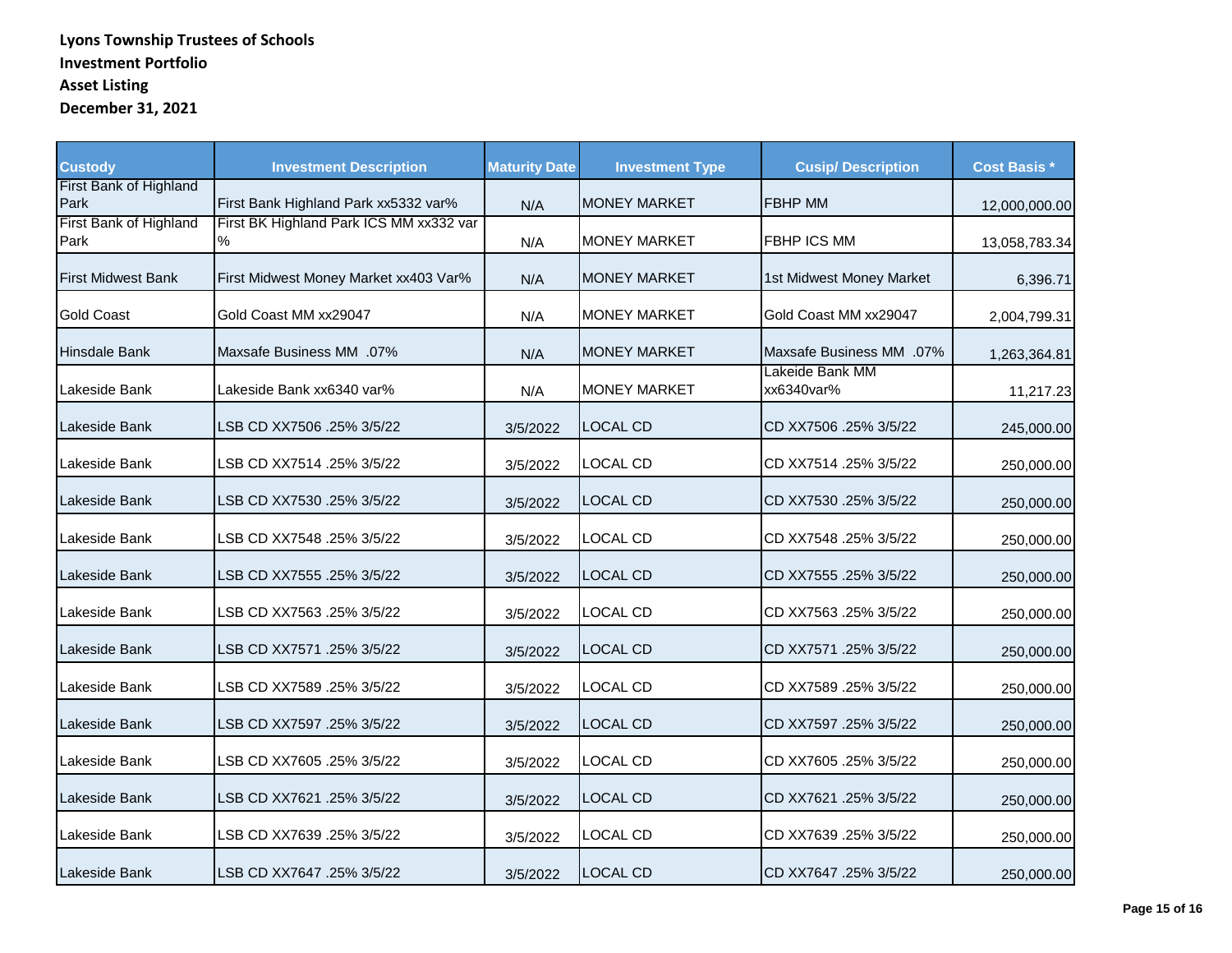| <b>Custody</b>                 | <b>Investment Description</b>                | <b>Maturity Date</b> | <b>Investment Type</b> | <b>Cusip/ Description</b>     | <b>Cost Basis *</b> |
|--------------------------------|----------------------------------------------|----------------------|------------------------|-------------------------------|---------------------|
| First Bank of Highland<br>Park | First Bank Highland Park xx5332 var%         | N/A                  | <b>MONEY MARKET</b>    | <b>FBHP MM</b>                | 12,000,000.00       |
| First Bank of Highland<br>Park | First BK Highland Park ICS MM xx332 var<br>% | N/A                  | <b>MONEY MARKET</b>    | <b>FBHP ICS MM</b>            | 13,058,783.34       |
| <b>First Midwest Bank</b>      | First Midwest Money Market xx403 Var%        | N/A                  | <b>MONEY MARKET</b>    | 1st Midwest Money Market      | 6,396.71            |
| <b>Gold Coast</b>              | Gold Coast MM xx29047                        | N/A                  | <b>MONEY MARKET</b>    | Gold Coast MM xx29047         | 2,004,799.31        |
| <b>Hinsdale Bank</b>           | Maxsafe Business MM .07%                     | N/A                  | <b>MONEY MARKET</b>    | Maxsafe Business MM .07%      | 1,263,364.81        |
| Lakeside Bank                  | Lakeside Bank xx6340 var%                    | N/A                  | <b>MONEY MARKET</b>    | Lakeide Bank MM<br>xx6340var% | 11,217.23           |
| Lakeside Bank                  | LSB CD XX7506 .25% 3/5/22                    | 3/5/2022             | <b>LOCAL CD</b>        | CD XX7506 .25% 3/5/22         | 245,000.00          |
| Lakeside Bank                  | LSB CD XX7514 .25% 3/5/22                    | 3/5/2022             | LOCAL CD               | CD XX7514 .25% 3/5/22         | 250,000.00          |
| Lakeside Bank                  | LSB CD XX7530 .25% 3/5/22                    | 3/5/2022             | <b>LOCAL CD</b>        | CD XX7530 .25% 3/5/22         | 250,000.00          |
| Lakeside Bank                  | LSB CD XX7548 .25% 3/5/22                    | 3/5/2022             | <b>LOCAL CD</b>        | CD XX7548 .25% 3/5/22         | 250,000.00          |
| Lakeside Bank                  | LSB CD XX7555 .25% 3/5/22                    | 3/5/2022             | <b>LOCAL CD</b>        | CD XX7555 .25% 3/5/22         | 250,000.00          |
| Lakeside Bank                  | LSB CD XX7563 .25% 3/5/22                    | 3/5/2022             | <b>LOCAL CD</b>        | CD XX7563 .25% 3/5/22         | 250,000.00          |
| Lakeside Bank                  | LSB CD XX7571 .25% 3/5/22                    | 3/5/2022             | LOCAL CD               | CD XX7571 .25% 3/5/22         | 250,000.00          |
| Lakeside Bank                  | LSB CD XX7589 .25% 3/5/22                    | 3/5/2022             | <b>LOCAL CD</b>        | CD XX7589 .25% 3/5/22         | 250,000.00          |
| Lakeside Bank                  | LSB CD XX7597 .25% 3/5/22                    | 3/5/2022             | <b>LOCAL CD</b>        | CD XX7597 .25% 3/5/22         | 250,000.00          |
| Lakeside Bank                  | LSB CD XX7605 .25% 3/5/22                    | 3/5/2022             | <b>LOCAL CD</b>        | CD XX7605 .25% 3/5/22         | 250,000.00          |
| Lakeside Bank                  | LSB CD XX7621 .25% 3/5/22                    | 3/5/2022             | <b>LOCAL CD</b>        | CD XX7621 .25% 3/5/22         | 250,000.00          |
| Lakeside Bank                  | LSB CD XX7639 .25% 3/5/22                    | 3/5/2022             | LOCAL CD               | CD XX7639 .25% 3/5/22         | 250,000.00          |
| Lakeside Bank                  | 3/5/22 25% 25% LSB CD XX7647                 | 3/5/2022             | <b>LOCAL CD</b>        | CD XX7647 .25% 3/5/22         | 250,000.00          |